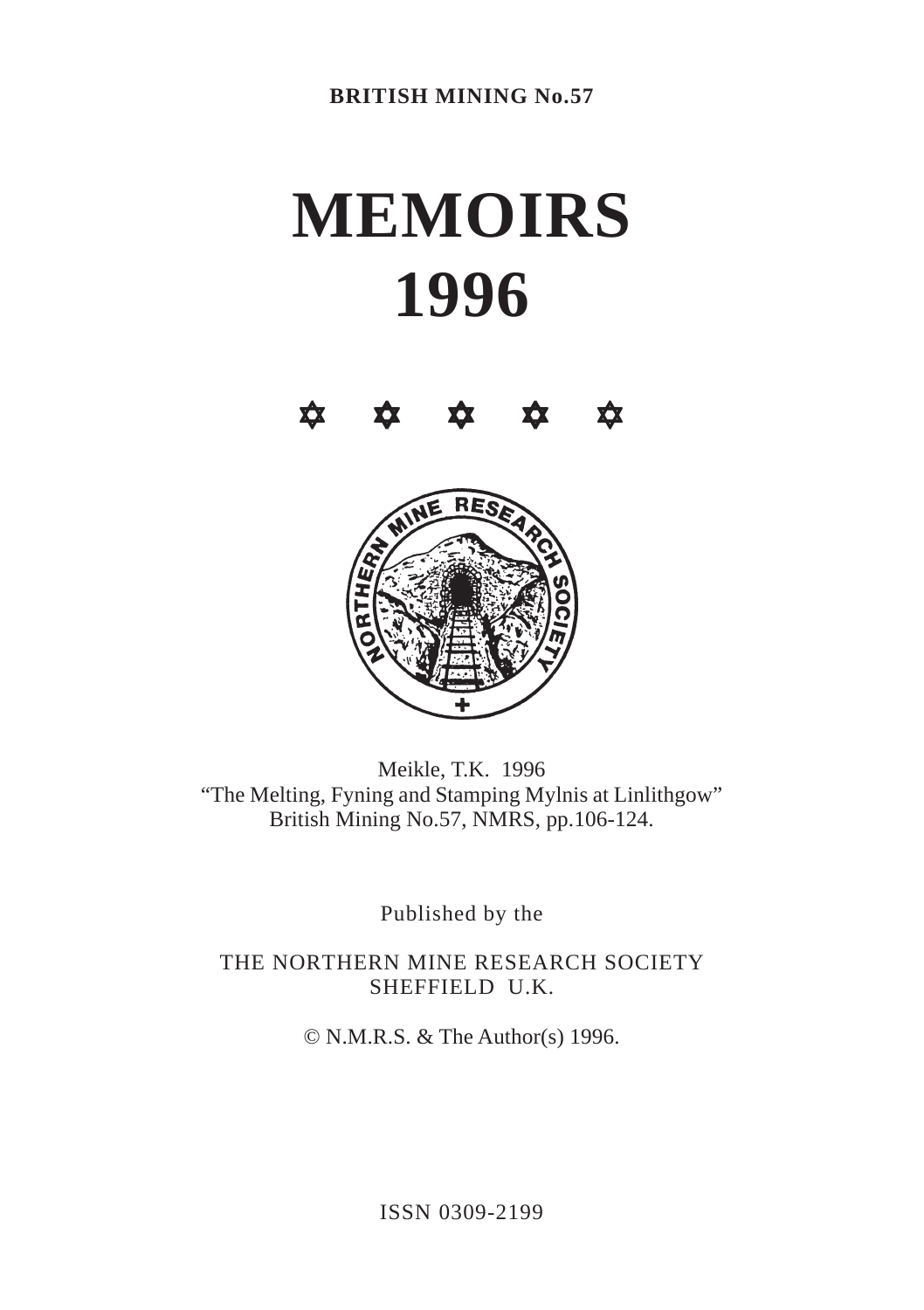# **MEMOIRS 1996**





Meikle, T.K. 1996 "The Melting, Fyning and Stamping Mylnis at Linlithgow" British Mining No.57, NMRS, pp.106-124.

Published by the

THE NORTHERN MINE RESEARCH SOCIETY SHEFFIELD U.K.

© N.M.R.S. & The Author(s) 1996.

ISSN 0309-2199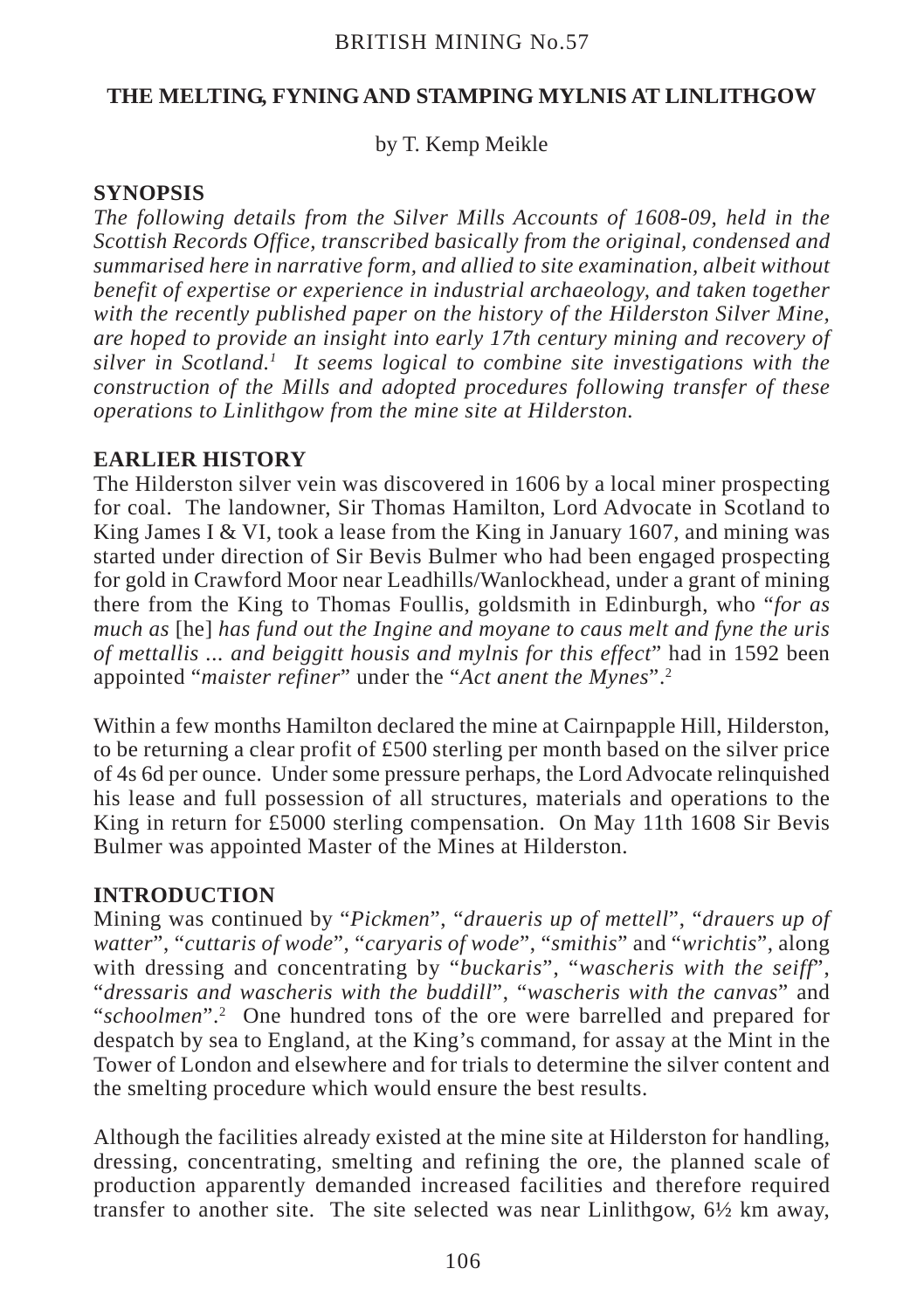by T. Kemp Meikle

## **SYNOPSIS**

*The following details from the Silver Mills Accounts of 1608-09, held in the Scottish Records Office, transcribed basically from the original, condensed and summarised here in narrative form, and allied to site examination, albeit without benefit of expertise or experience in industrial archaeology, and taken together with the recently published paper on the history of the Hilderston Silver Mine, are hoped to provide an insight into early 17th century mining and recovery of silver in Scotland.1 It seems logical to combine site investigations with the construction of the Mills and adopted procedures following transfer of these operations to Linlithgow from the mine site at Hilderston.*

# **EARLIER HISTORY**

The Hilderston silver vein was discovered in 1606 by a local miner prospecting for coal. The landowner, Sir Thomas Hamilton, Lord Advocate in Scotland to King James I & VI, took a lease from the King in January 1607, and mining was started under direction of Sir Bevis Bulmer who had been engaged prospecting for gold in Crawford Moor near Leadhills/Wanlockhead, under a grant of mining there from the King to Thomas Foullis, goldsmith in Edinburgh, who "*for as much as* [he] *has fund out the Ingine and moyane to caus melt and fyne the uris of mettallis ... and beiggitt housis and mylnis for this effect*" had in 1592 been appointed "*maister refiner*" under the "*Act anent the Mynes*".2

Within a few months Hamilton declared the mine at Cairnpapple Hill, Hilderston, to be returning a clear profit of £500 sterling per month based on the silver price of 4s 6d per ounce. Under some pressure perhaps, the Lord Advocate relinquished his lease and full possession of all structures, materials and operations to the King in return for £5000 sterling compensation. On May 11th 1608 Sir Bevis Bulmer was appointed Master of the Mines at Hilderston.

# **INTRODUCTION**

Mining was continued by "*Pickmen*", "*draueris up of mettell*", "*drauers up of watter*", "*cuttaris of wode*", "*caryaris of wode*", "*smithis*" and "*wrichtis*", along with dressing and concentrating by "*buckaris*", "*wascheris with the seiff*", "*dressaris and wascheris with the buddill*", "*wascheris with the canvas*" and "schoolmen".<sup>2</sup> One hundred tons of the ore were barrelled and prepared for despatch by sea to England, at the King's command, for assay at the Mint in the Tower of London and elsewhere and for trials to determine the silver content and the smelting procedure which would ensure the best results.

Although the facilities already existed at the mine site at Hilderston for handling, dressing, concentrating, smelting and refining the ore, the planned scale of production apparently demanded increased facilities and therefore required transfer to another site. The site selected was near Linlithgow,  $6\frac{1}{2}$  km away,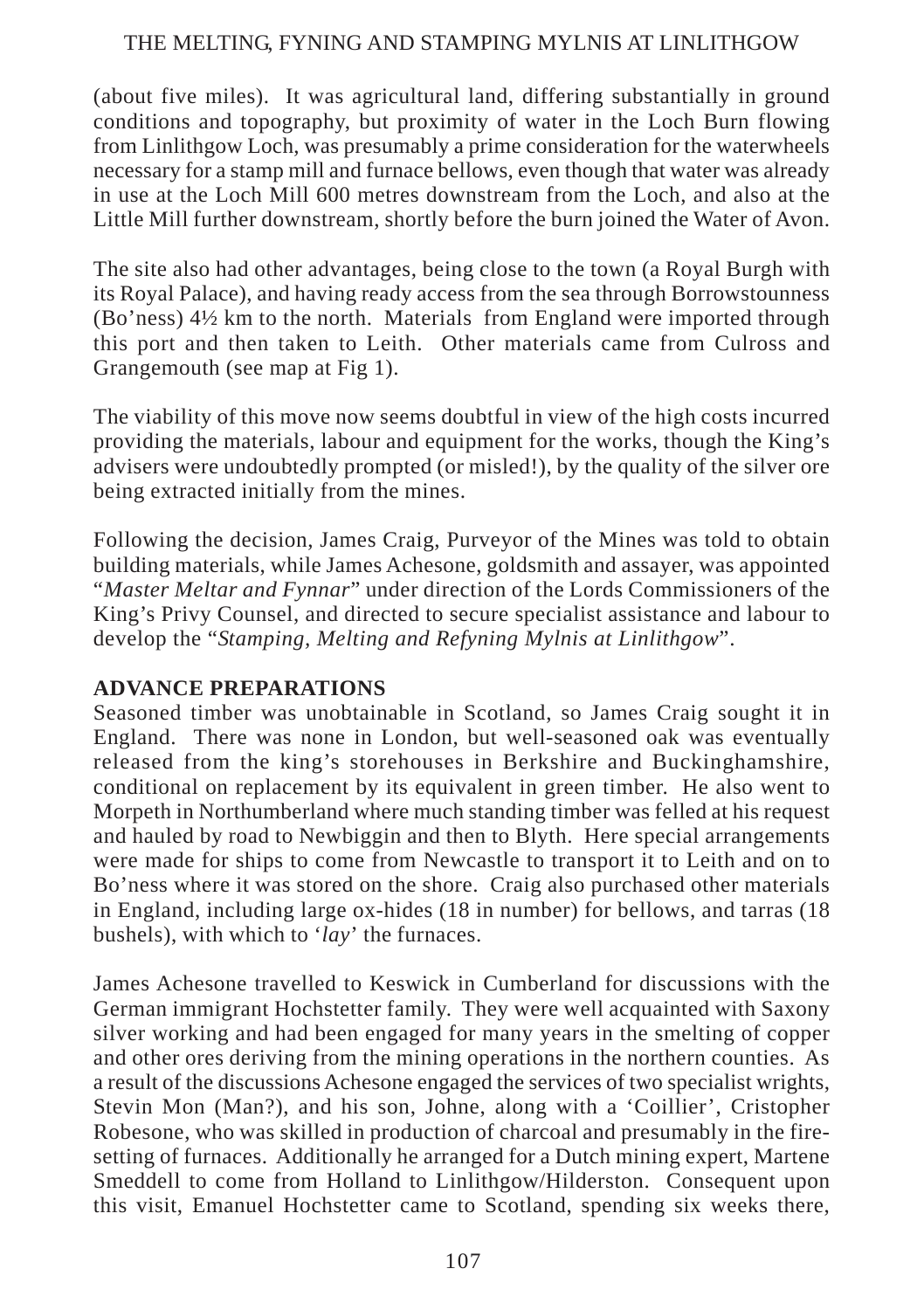(about five miles). It was agricultural land, differing substantially in ground conditions and topography, but proximity of water in the Loch Burn flowing from Linlithgow Loch, was presumably a prime consideration for the waterwheels necessary for a stamp mill and furnace bellows, even though that water was already in use at the Loch Mill 600 metres downstream from the Loch, and also at the Little Mill further downstream, shortly before the burn joined the Water of Avon.

The site also had other advantages, being close to the town (a Royal Burgh with its Royal Palace), and having ready access from the sea through Borrowstounness (Bo'ness) 4½ km to the north. Materials from England were imported through this port and then taken to Leith. Other materials came from Culross and Grangemouth (see map at Fig 1).

The viability of this move now seems doubtful in view of the high costs incurred providing the materials, labour and equipment for the works, though the King's advisers were undoubtedly prompted (or misled!), by the quality of the silver ore being extracted initially from the mines.

Following the decision, James Craig, Purveyor of the Mines was told to obtain building materials, while James Achesone, goldsmith and assayer, was appointed "*Master Meltar and Fynnar*" under direction of the Lords Commissioners of the King's Privy Counsel, and directed to secure specialist assistance and labour to develop the "*Stamping, Melting and Refyning Mylnis at Linlithgow*".

## **ADVANCE PREPARATIONS**

Seasoned timber was unobtainable in Scotland, so James Craig sought it in England. There was none in London, but well-seasoned oak was eventually released from the king's storehouses in Berkshire and Buckinghamshire, conditional on replacement by its equivalent in green timber. He also went to Morpeth in Northumberland where much standing timber was felled at his request and hauled by road to Newbiggin and then to Blyth. Here special arrangements were made for ships to come from Newcastle to transport it to Leith and on to Bo'ness where it was stored on the shore. Craig also purchased other materials in England, including large ox-hides (18 in number) for bellows, and tarras (18 bushels), with which to '*lay*' the furnaces.

James Achesone travelled to Keswick in Cumberland for discussions with the German immigrant Hochstetter family. They were well acquainted with Saxony silver working and had been engaged for many years in the smelting of copper and other ores deriving from the mining operations in the northern counties. As a result of the discussions Achesone engaged the services of two specialist wrights, Stevin Mon (Man?), and his son, Johne, along with a 'Coillier', Cristopher Robesone, who was skilled in production of charcoal and presumably in the firesetting of furnaces. Additionally he arranged for a Dutch mining expert, Martene Smeddell to come from Holland to Linlithgow/Hilderston. Consequent upon this visit, Emanuel Hochstetter came to Scotland, spending six weeks there,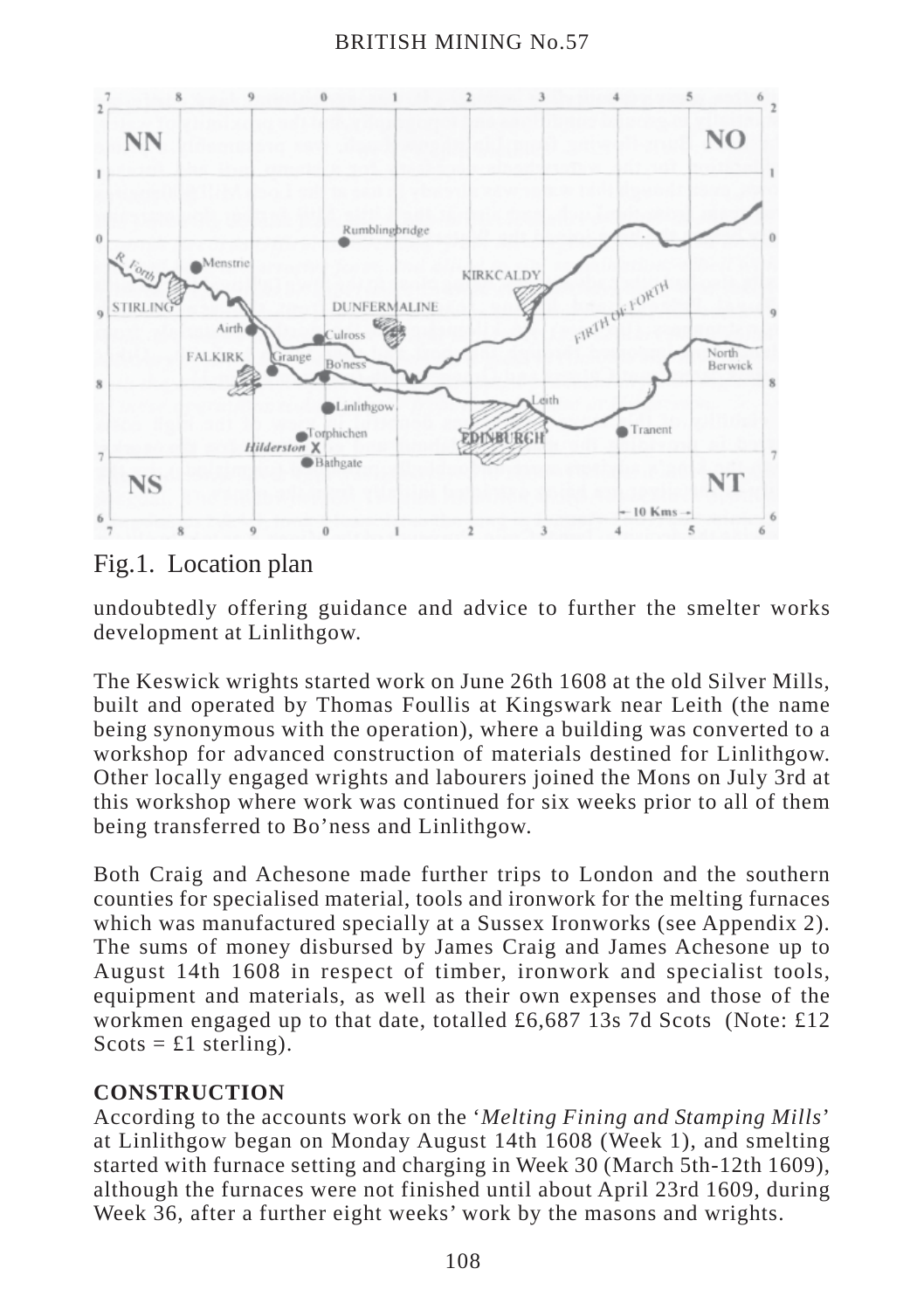

Fig.1. Location plan

undoubtedly offering guidance and advice to further the smelter works development at Linlithgow.

The Keswick wrights started work on June 26th 1608 at the old Silver Mills, built and operated by Thomas Foullis at Kingswark near Leith (the name being synonymous with the operation), where a building was converted to a workshop for advanced construction of materials destined for Linlithgow. Other locally engaged wrights and labourers joined the Mons on July 3rd at this workshop where work was continued for six weeks prior to all of them being transferred to Bo'ness and Linlithgow.

Both Craig and Achesone made further trips to London and the southern counties for specialised material, tools and ironwork for the melting furnaces which was manufactured specially at a Sussex Ironworks (see Appendix 2). The sums of money disbursed by James Craig and James Achesone up to August 14th 1608 in respect of timber, ironwork and specialist tools, equipment and materials, as well as their own expenses and those of the workmen engaged up to that date, totalled £6,687 13s 7d Scots (Note: £12  $S\text{cots} = \pounds1$  sterling).

# **CONSTRUCTION**

According to the accounts work on the '*Melting Fining and Stamping Mills*' at Linlithgow began on Monday August 14th 1608 (Week 1), and smelting started with furnace setting and charging in Week 30 (March 5th-12th 1609), although the furnaces were not finished until about April 23rd 1609, during Week 36, after a further eight weeks' work by the masons and wrights.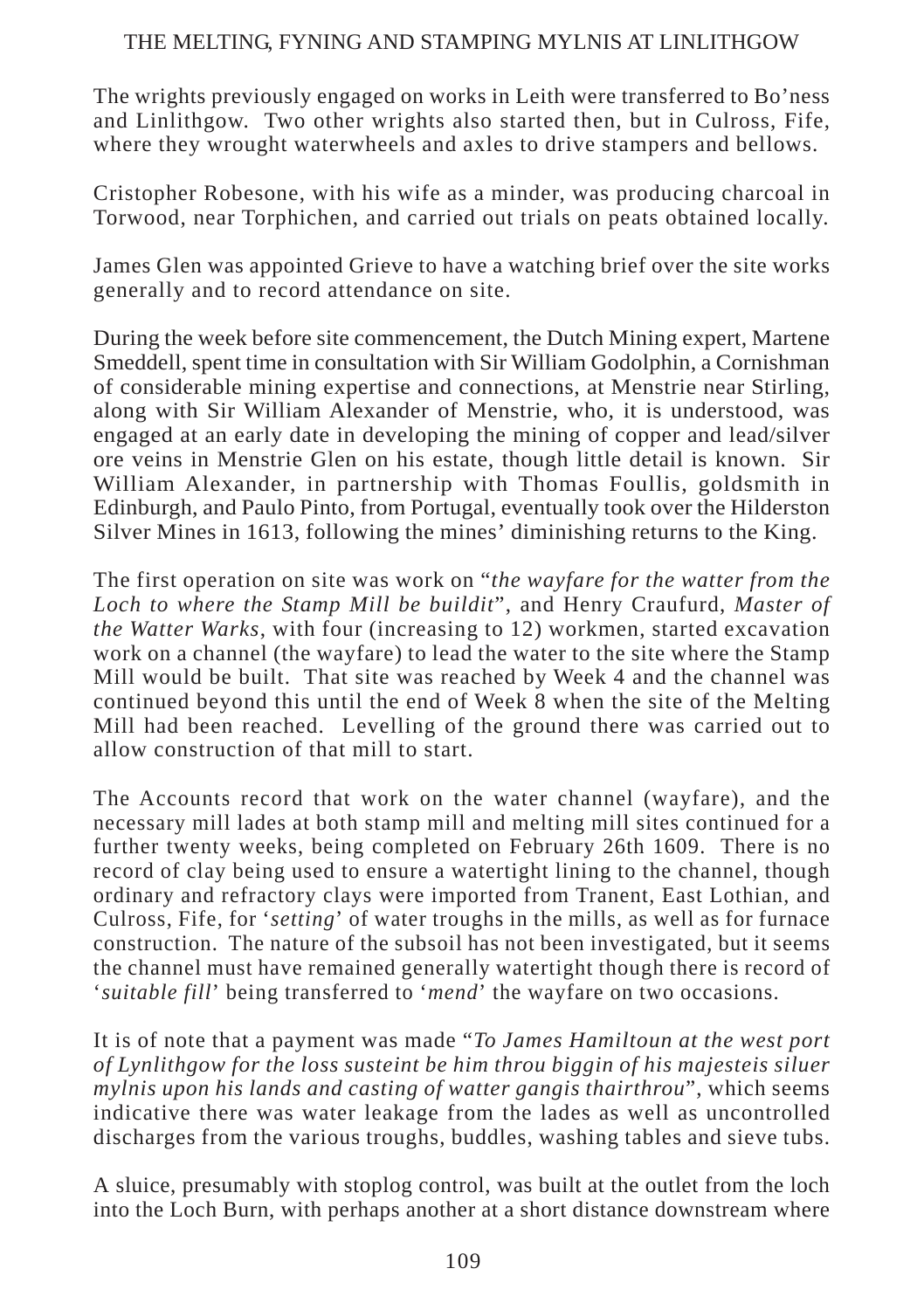The wrights previously engaged on works in Leith were transferred to Bo'ness and Linlithgow. Two other wrights also started then, but in Culross, Fife, where they wrought waterwheels and axles to drive stampers and bellows.

Cristopher Robesone, with his wife as a minder, was producing charcoal in Torwood, near Torphichen, and carried out trials on peats obtained locally.

James Glen was appointed Grieve to have a watching brief over the site works generally and to record attendance on site.

During the week before site commencement, the Dutch Mining expert, Martene Smeddell, spent time in consultation with Sir William Godolphin, a Cornishman of considerable mining expertise and connections, at Menstrie near Stirling, along with Sir William Alexander of Menstrie, who, it is understood, was engaged at an early date in developing the mining of copper and lead/silver ore veins in Menstrie Glen on his estate, though little detail is known. Sir William Alexander, in partnership with Thomas Foullis, goldsmith in Edinburgh, and Paulo Pinto, from Portugal, eventually took over the Hilderston Silver Mines in 1613, following the mines' diminishing returns to the King.

The first operation on site was work on "*the wayfare for the watter from the Loch to where the Stamp Mill be buildit*", and Henry Craufurd, *Master of the Watter Warks*, with four (increasing to 12) workmen, started excavation work on a channel (the wayfare) to lead the water to the site where the Stamp Mill would be built. That site was reached by Week 4 and the channel was continued beyond this until the end of Week 8 when the site of the Melting Mill had been reached. Levelling of the ground there was carried out to allow construction of that mill to start.

The Accounts record that work on the water channel (wayfare), and the necessary mill lades at both stamp mill and melting mill sites continued for a further twenty weeks, being completed on February 26th 1609. There is no record of clay being used to ensure a watertight lining to the channel, though ordinary and refractory clays were imported from Tranent, East Lothian, and Culross, Fife, for '*setting*' of water troughs in the mills, as well as for furnace construction. The nature of the subsoil has not been investigated, but it seems the channel must have remained generally watertight though there is record of '*suitable fill*' being transferred to '*mend*' the wayfare on two occasions.

It is of note that a payment was made "*To James Hamiltoun at the west port of Lynlithgow for the loss susteint be him throu biggin of his majesteis siluer mylnis upon his lands and casting of watter gangis thairthrou*", which seems indicative there was water leakage from the lades as well as uncontrolled discharges from the various troughs, buddles, washing tables and sieve tubs.

A sluice, presumably with stoplog control, was built at the outlet from the loch into the Loch Burn, with perhaps another at a short distance downstream where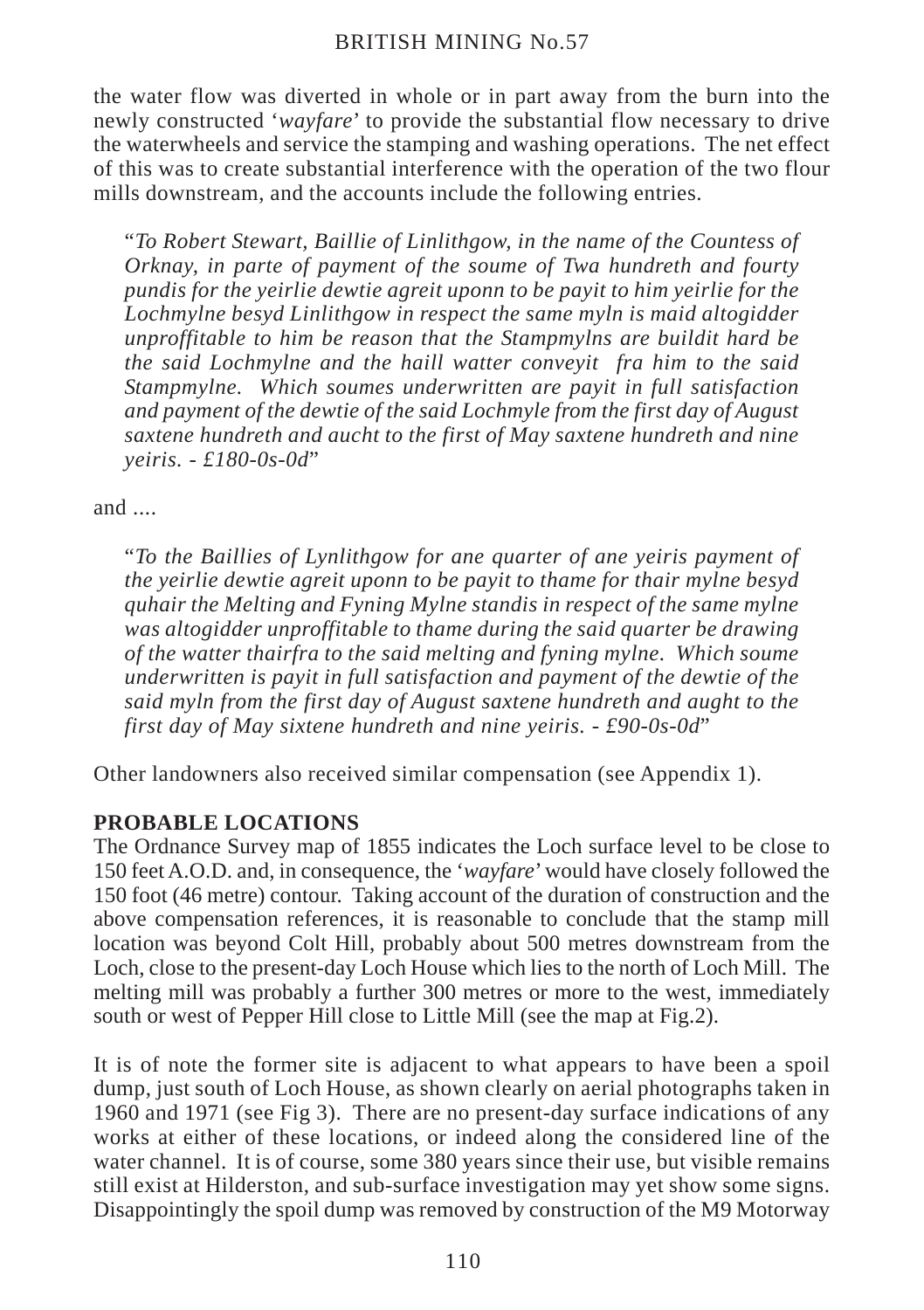the water flow was diverted in whole or in part away from the burn into the newly constructed '*wayfare*' to provide the substantial flow necessary to drive the waterwheels and service the stamping and washing operations. The net effect of this was to create substantial interference with the operation of the two flour mills downstream, and the accounts include the following entries.

"*To Robert Stewart, Baillie of Linlithgow, in the name of the Countess of Orknay, in parte of payment of the soume of Twa hundreth and fourty pundis for the yeirlie dewtie agreit uponn to be payit to him yeirlie for the Lochmylne besyd Linlithgow in respect the same myln is maid altogidder unproffitable to him be reason that the Stampmylns are buildit hard be the said Lochmylne and the haill watter conveyit fra him to the said Stampmylne. Which soumes underwritten are payit in full satisfaction and payment of the dewtie of the said Lochmyle from the first day of August saxtene hundreth and aucht to the first of May saxtene hundreth and nine yeiris. - £180-0s-0d*"

and ....

"*To the Baillies of Lynlithgow for ane quarter of ane yeiris payment of the yeirlie dewtie agreit uponn to be payit to thame for thair mylne besyd quhair the Melting and Fyning Mylne standis in respect of the same mylne was altogidder unproffitable to thame during the said quarter be drawing of the watter thairfra to the said melting and fyning mylne. Which soume underwritten is payit in full satisfaction and payment of the dewtie of the said myln from the first day of August saxtene hundreth and aught to the first day of May sixtene hundreth and nine yeiris. - £90-0s-0d*"

Other landowners also received similar compensation (see Appendix 1).

# **PROBABLE LOCATIONS**

The Ordnance Survey map of 1855 indicates the Loch surface level to be close to 150 feet A.O.D. and, in consequence, the '*wayfare*' would have closely followed the 150 foot (46 metre) contour. Taking account of the duration of construction and the above compensation references, it is reasonable to conclude that the stamp mill location was beyond Colt Hill, probably about 500 metres downstream from the Loch, close to the present-day Loch House which lies to the north of Loch Mill. The melting mill was probably a further 300 metres or more to the west, immediately south or west of Pepper Hill close to Little Mill (see the map at Fig.2).

It is of note the former site is adjacent to what appears to have been a spoil dump, just south of Loch House, as shown clearly on aerial photographs taken in 1960 and 1971 (see Fig 3). There are no present-day surface indications of any works at either of these locations, or indeed along the considered line of the water channel. It is of course, some 380 years since their use, but visible remains still exist at Hilderston, and sub-surface investigation may yet show some signs. Disappointingly the spoil dump was removed by construction of the M9 Motorway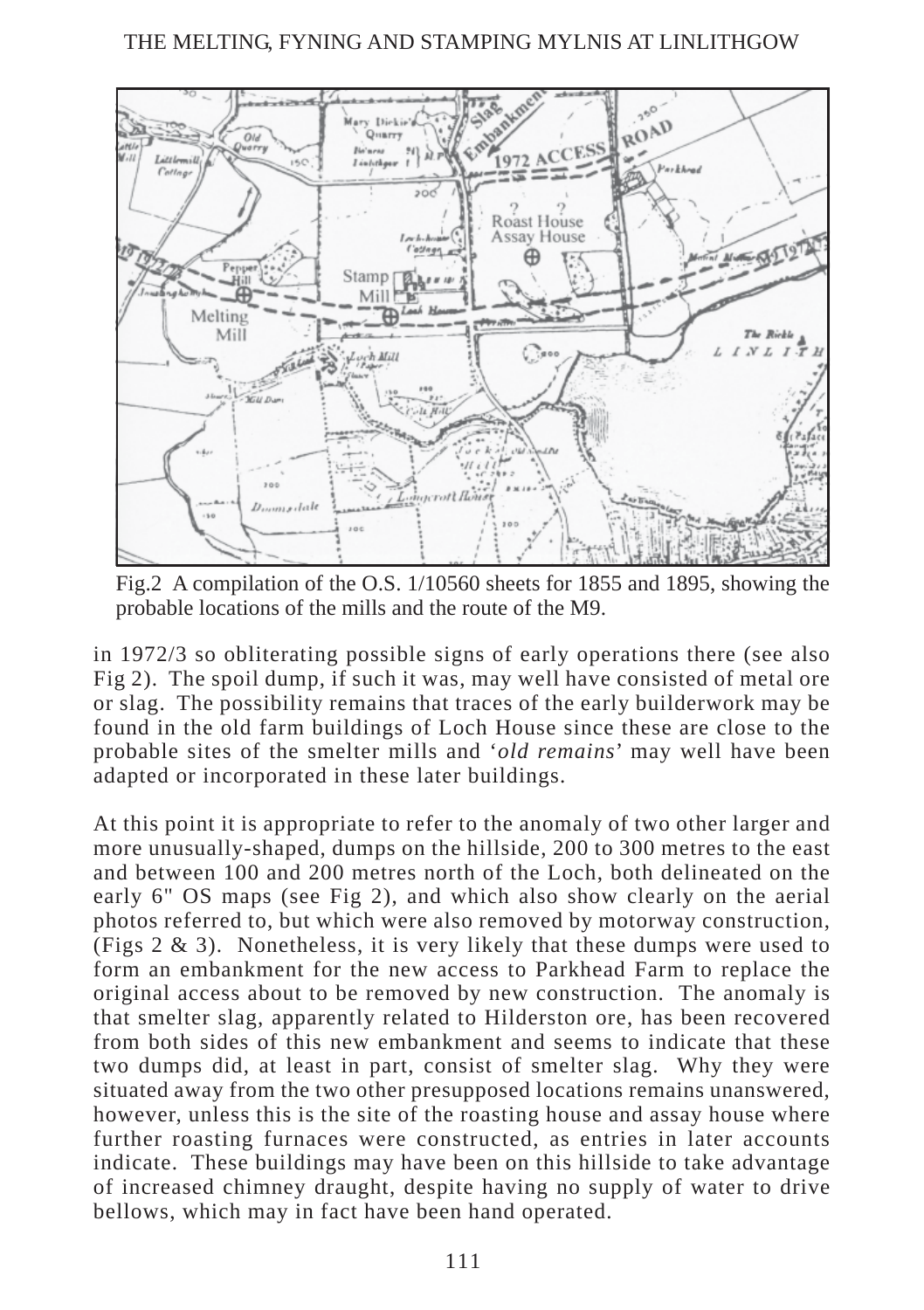

Fig.2 A compilation of the O.S. 1/10560 sheets for 1855 and 1895, showing the probable locations of the mills and the route of the M9.

in 1972/3 so obliterating possible signs of early operations there (see also Fig 2). The spoil dump, if such it was, may well have consisted of metal ore or slag. The possibility remains that traces of the early builderwork may be found in the old farm buildings of Loch House since these are close to the probable sites of the smelter mills and '*old remains*' may well have been adapted or incorporated in these later buildings.

At this point it is appropriate to refer to the anomaly of two other larger and more unusually-shaped, dumps on the hillside, 200 to 300 metres to the east and between 100 and 200 metres north of the Loch, both delineated on the early 6" OS maps (see Fig 2), and which also show clearly on the aerial photos referred to, but which were also removed by motorway construction, (Figs  $2 \& 3$ ). Nonetheless, it is very likely that these dumps were used to form an embankment for the new access to Parkhead Farm to replace the original access about to be removed by new construction. The anomaly is that smelter slag, apparently related to Hilderston ore, has been recovered from both sides of this new embankment and seems to indicate that these two dumps did, at least in part, consist of smelter slag. Why they were situated away from the two other presupposed locations remains unanswered, however, unless this is the site of the roasting house and assay house where further roasting furnaces were constructed, as entries in later accounts indicate. These buildings may have been on this hillside to take advantage of increased chimney draught, despite having no supply of water to drive bellows, which may in fact have been hand operated.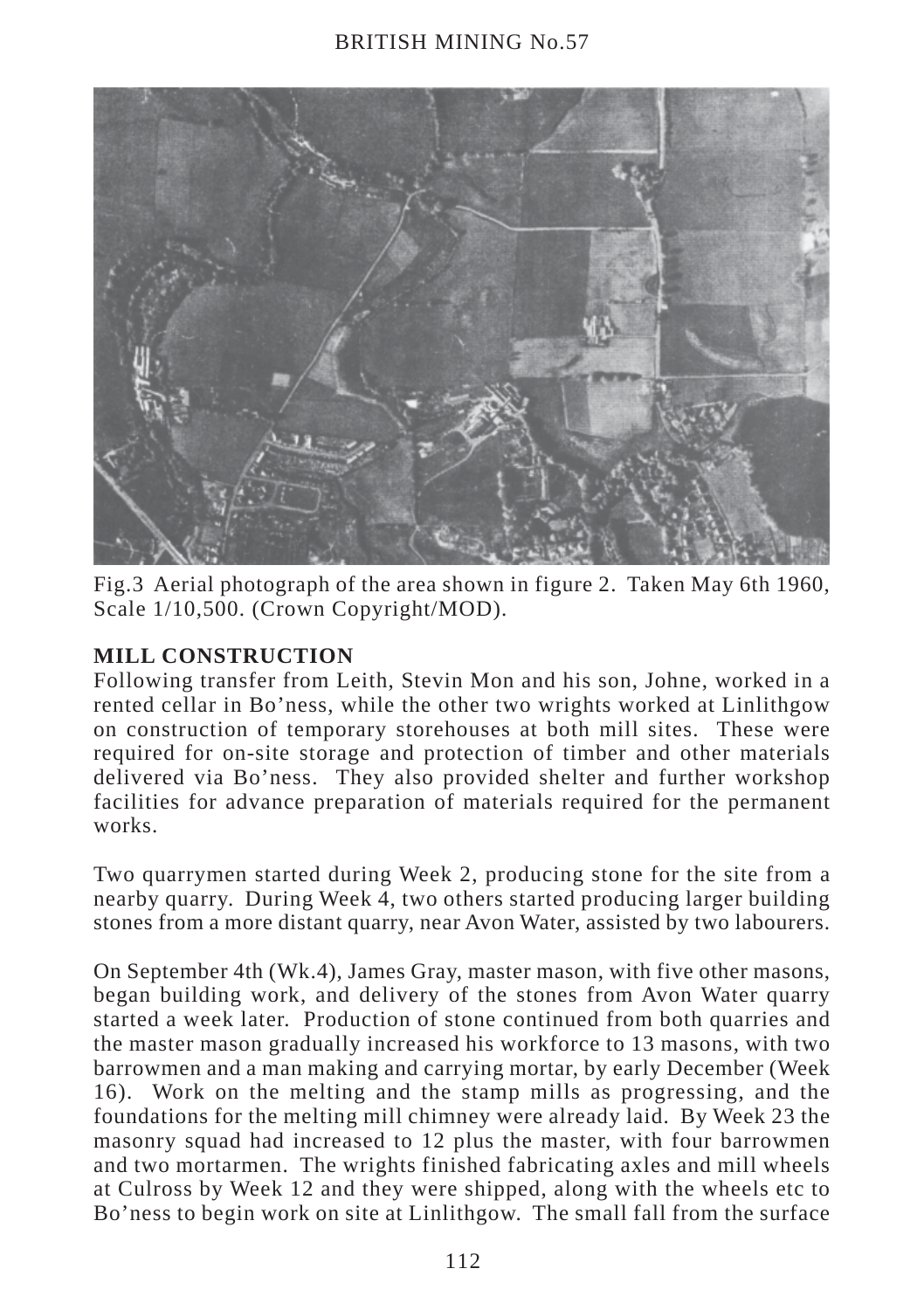

Fig.3 Aerial photograph of the area shown in figure 2. Taken May 6th 1960, Scale 1/10,500. (Crown Copyright/MOD).

# **MILL CONSTRUCTION**

Following transfer from Leith, Stevin Mon and his son, Johne, worked in a rented cellar in Bo'ness, while the other two wrights worked at Linlithgow on construction of temporary storehouses at both mill sites. These were required for on-site storage and protection of timber and other materials delivered via Bo'ness. They also provided shelter and further workshop facilities for advance preparation of materials required for the permanent works.

Two quarrymen started during Week 2, producing stone for the site from a nearby quarry. During Week 4, two others started producing larger building stones from a more distant quarry, near Avon Water, assisted by two labourers.

On September 4th (Wk.4), James Gray, master mason, with five other masons, began building work, and delivery of the stones from Avon Water quarry started a week later. Production of stone continued from both quarries and the master mason gradually increased his workforce to 13 masons, with two barrowmen and a man making and carrying mortar, by early December (Week 16). Work on the melting and the stamp mills as progressing, and the foundations for the melting mill chimney were already laid. By Week 23 the masonry squad had increased to 12 plus the master, with four barrowmen and two mortarmen. The wrights finished fabricating axles and mill wheels at Culross by Week 12 and they were shipped, along with the wheels etc to Bo'ness to begin work on site at Linlithgow. The small fall from the surface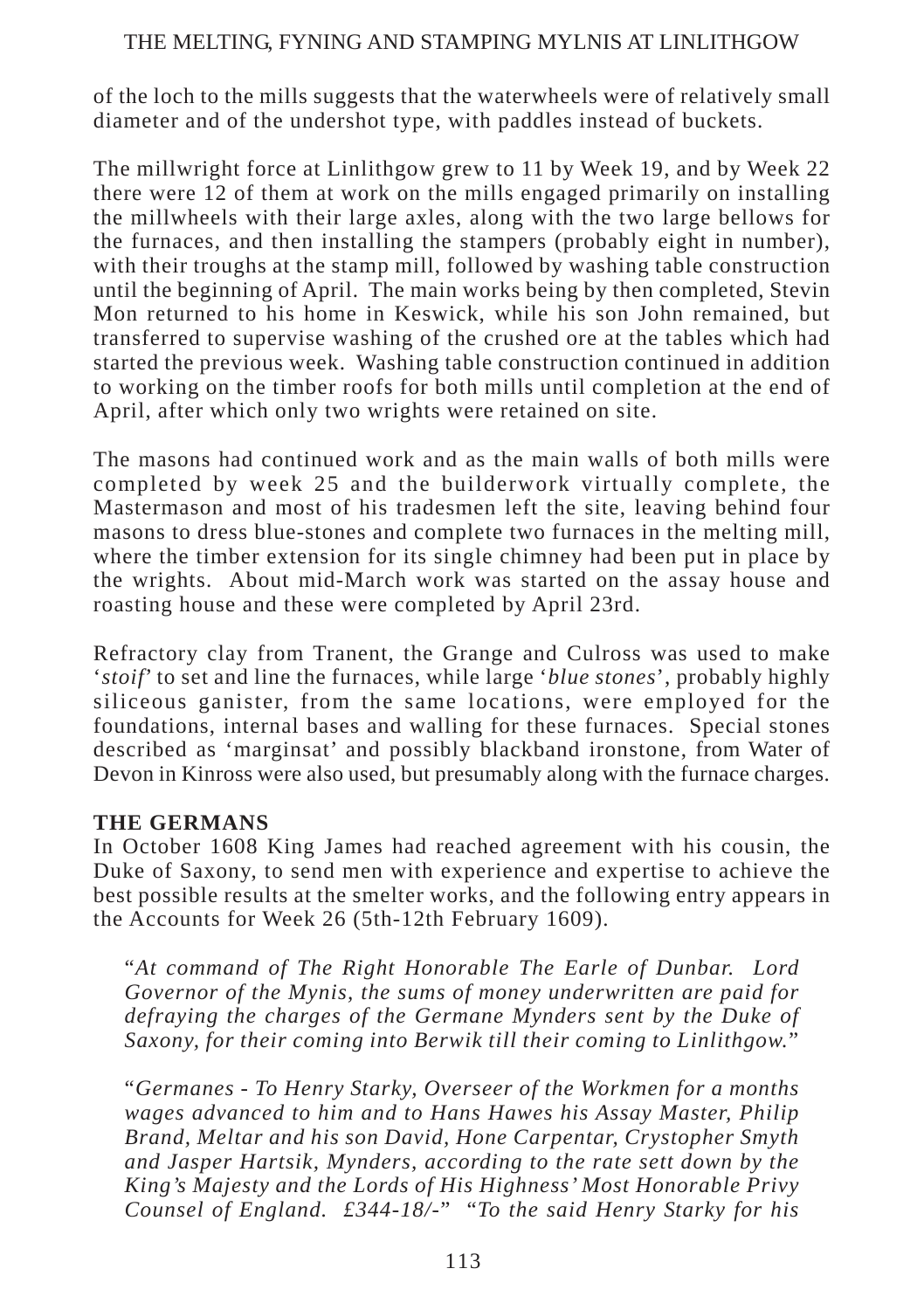of the loch to the mills suggests that the waterwheels were of relatively small diameter and of the undershot type, with paddles instead of buckets.

The millwright force at Linlithgow grew to 11 by Week 19, and by Week 22 there were 12 of them at work on the mills engaged primarily on installing the millwheels with their large axles, along with the two large bellows for the furnaces, and then installing the stampers (probably eight in number), with their troughs at the stamp mill, followed by washing table construction until the beginning of April. The main works being by then completed, Stevin Mon returned to his home in Keswick, while his son John remained, but transferred to supervise washing of the crushed ore at the tables which had started the previous week. Washing table construction continued in addition to working on the timber roofs for both mills until completion at the end of April, after which only two wrights were retained on site.

The masons had continued work and as the main walls of both mills were completed by week 25 and the builderwork virtually complete, the Mastermason and most of his tradesmen left the site, leaving behind four masons to dress blue-stones and complete two furnaces in the melting mill, where the timber extension for its single chimney had been put in place by the wrights. About mid-March work was started on the assay house and roasting house and these were completed by April 23rd.

Refractory clay from Tranent, the Grange and Culross was used to make '*stoif*' to set and line the furnaces, while large '*blue stones*', probably highly siliceous ganister, from the same locations, were employed for the foundations, internal bases and walling for these furnaces. Special stones described as 'marginsat' and possibly blackband ironstone, from Water of Devon in Kinross were also used, but presumably along with the furnace charges.

## **THE GERMANS**

In October 1608 King James had reached agreement with his cousin, the Duke of Saxony, to send men with experience and expertise to achieve the best possible results at the smelter works, and the following entry appears in the Accounts for Week 26 (5th-12th February 1609).

"*At command of The Right Honorable The Earle of Dunbar. Lord Governor of the Mynis, the sums of money underwritten are paid for defraying the charges of the Germane Mynders sent by the Duke of Saxony, for their coming into Berwik till their coming to Linlithgow.*"

"*Germanes - To Henry Starky, Overseer of the Workmen for a months wages advanced to him and to Hans Hawes his Assay Master, Philip Brand, Meltar and his son David, Hone Carpentar, Crystopher Smyth and Jasper Hartsik, Mynders, according to the rate sett down by the King's Majesty and the Lords of His Highness' Most Honorable Privy Counsel of England. £344-18/-*" "*To the said Henry Starky for his*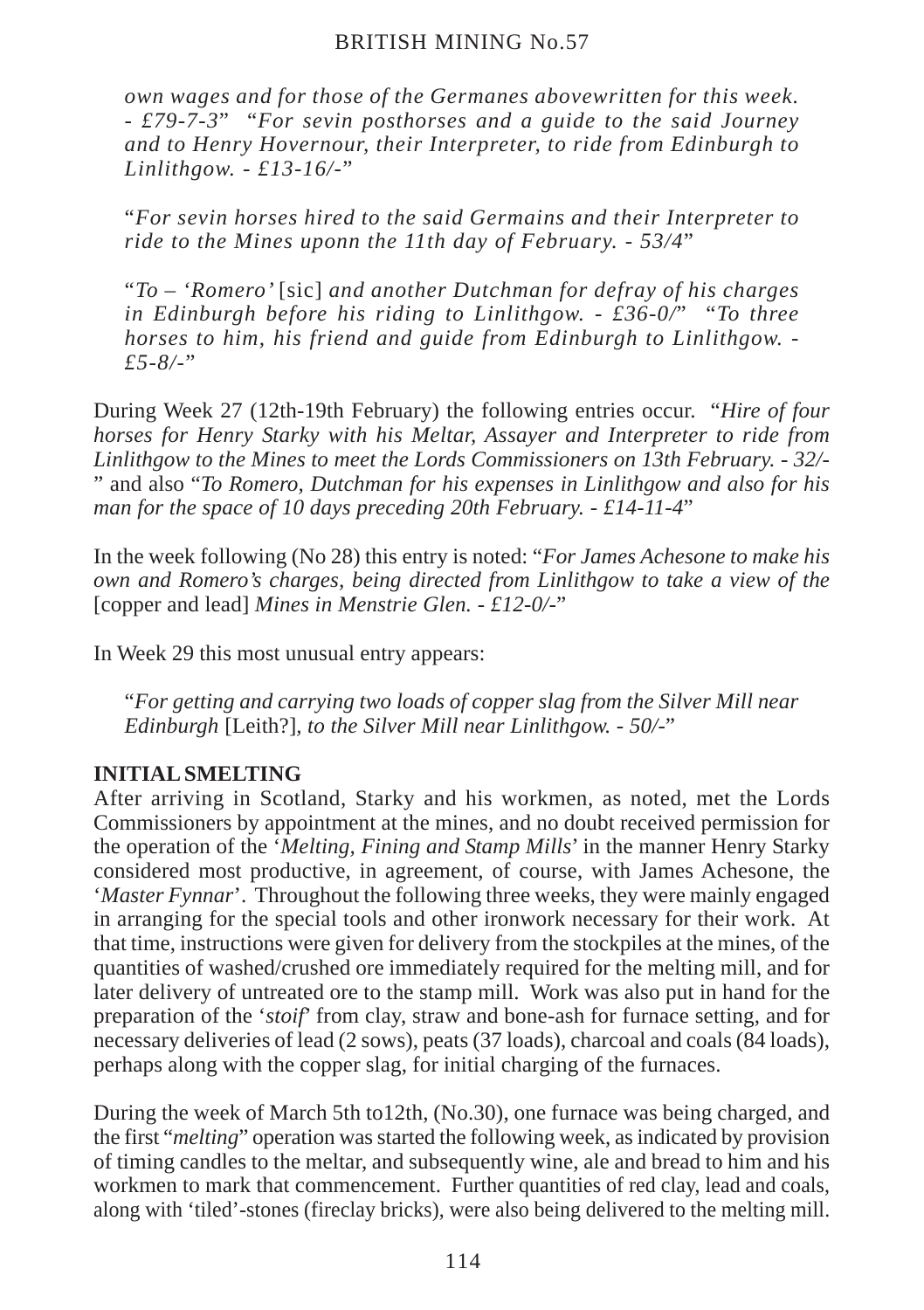*own wages and for those of the Germanes abovewritten for this week. - £79-7-3*" "*For sevin posthorses and a guide to the said Journey and to Henry Hovernour, their Interpreter, to ride from Edinburgh to Linlithgow. - £13-16/-*"

"*For sevin horses hired to the said Germains and their Interpreter to ride to the Mines uponn the 11th day of February. - 53/4*"

"*To – 'Romero'* [sic] *and another Dutchman for defray of his charges in Edinburgh before his riding to Linlithgow. - £36-0/*" "*To three horses to him, his friend and guide from Edinburgh to Linlithgow. - £5-8/-*"

During Week 27 (12th-19th February) the following entries occur. "*Hire of four horses for Henry Starky with his Meltar, Assayer and Interpreter to ride from Linlithgow to the Mines to meet the Lords Commissioners on 13th February. - 32/-* " and also "*To Romero, Dutchman for his expenses in Linlithgow and also for his man for the space of 10 days preceding 20th February. - £14-11-4*"

In the week following (No 28) this entry is noted: "*For James Achesone to make his own and Romero's charges, being directed from Linlithgow to take a view of the* [copper and lead] *Mines in Menstrie Glen. - £12-0/-*"

In Week 29 this most unusual entry appears:

"*For getting and carrying two loads of copper slag from the Silver Mill near Edinburgh* [Leith?]*, to the Silver Mill near Linlithgow. - 50/-*"

# **INITIAL SMELTING**

After arriving in Scotland, Starky and his workmen, as noted, met the Lords Commissioners by appointment at the mines, and no doubt received permission for the operation of the '*Melting, Fining and Stamp Mills*' in the manner Henry Starky considered most productive, in agreement, of course, with James Achesone, the '*Master Fynnar*'. Throughout the following three weeks, they were mainly engaged in arranging for the special tools and other ironwork necessary for their work. At that time, instructions were given for delivery from the stockpiles at the mines, of the quantities of washed/crushed ore immediately required for the melting mill, and for later delivery of untreated ore to the stamp mill. Work was also put in hand for the preparation of the '*stoif*' from clay, straw and bone-ash for furnace setting, and for necessary deliveries of lead (2 sows), peats (37 loads), charcoal and coals (84 loads), perhaps along with the copper slag, for initial charging of the furnaces.

During the week of March 5th to12th, (No.30), one furnace was being charged, and the first "*melting*" operation was started the following week, as indicated by provision of timing candles to the meltar, and subsequently wine, ale and bread to him and his workmen to mark that commencement. Further quantities of red clay, lead and coals, along with 'tiled'-stones (fireclay bricks), were also being delivered to the melting mill.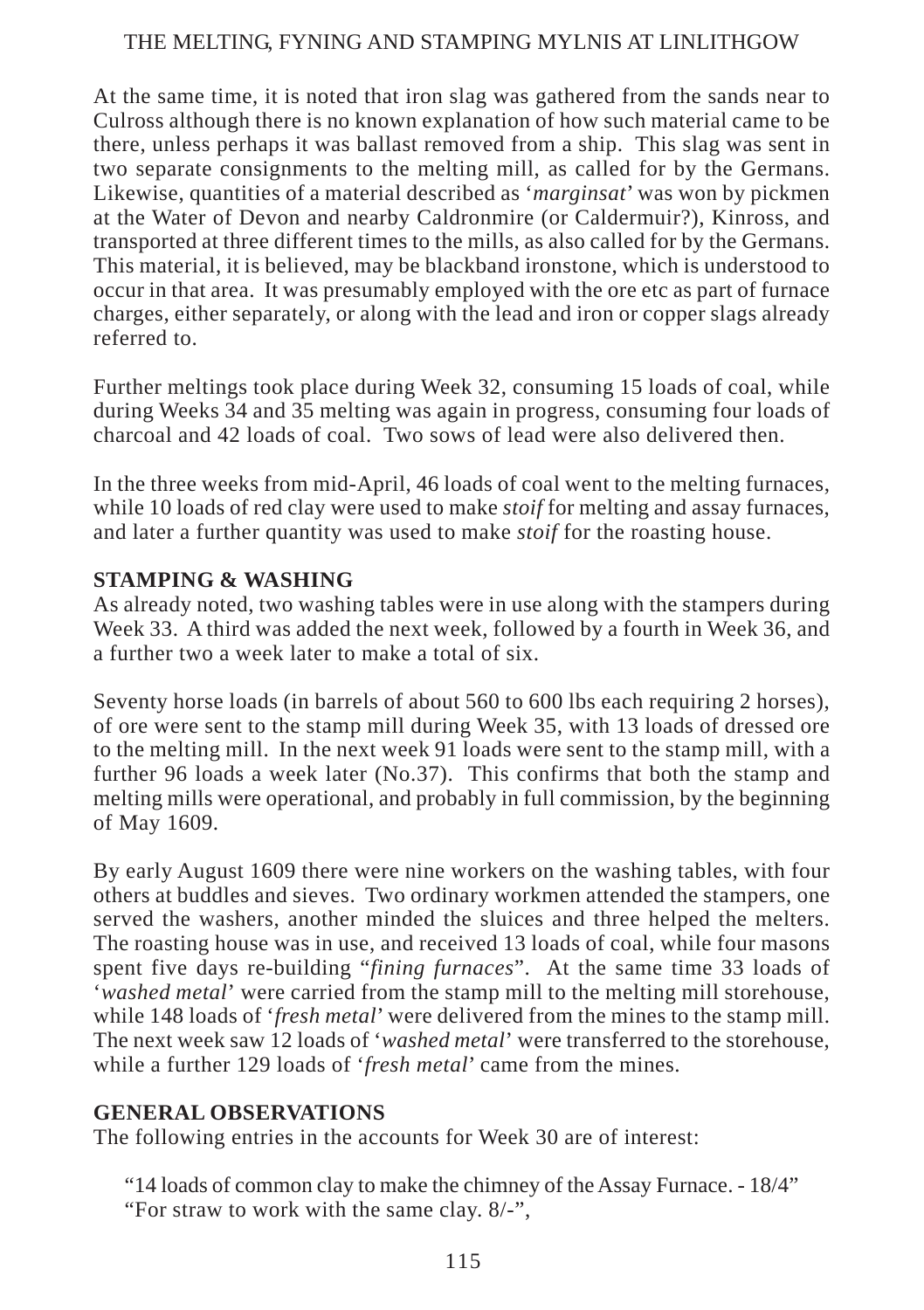At the same time, it is noted that iron slag was gathered from the sands near to Culross although there is no known explanation of how such material came to be there, unless perhaps it was ballast removed from a ship. This slag was sent in two separate consignments to the melting mill, as called for by the Germans. Likewise, quantities of a material described as '*marginsat*' was won by pickmen at the Water of Devon and nearby Caldronmire (or Caldermuir?), Kinross, and transported at three different times to the mills, as also called for by the Germans. This material, it is believed, may be blackband ironstone, which is understood to occur in that area. It was presumably employed with the ore etc as part of furnace charges, either separately, or along with the lead and iron or copper slags already referred to.

Further meltings took place during Week 32, consuming 15 loads of coal, while during Weeks 34 and 35 melting was again in progress, consuming four loads of charcoal and 42 loads of coal. Two sows of lead were also delivered then.

In the three weeks from mid-April, 46 loads of coal went to the melting furnaces, while 10 loads of red clay were used to make *stoif* for melting and assay furnaces, and later a further quantity was used to make *stoif* for the roasting house.

## **STAMPING & WASHING**

As already noted, two washing tables were in use along with the stampers during Week 33. A third was added the next week, followed by a fourth in Week 36, and a further two a week later to make a total of six.

Seventy horse loads (in barrels of about 560 to 600 lbs each requiring 2 horses), of ore were sent to the stamp mill during Week 35, with 13 loads of dressed ore to the melting mill. In the next week 91 loads were sent to the stamp mill, with a further 96 loads a week later (No.37). This confirms that both the stamp and melting mills were operational, and probably in full commission, by the beginning of May 1609.

By early August 1609 there were nine workers on the washing tables, with four others at buddles and sieves. Two ordinary workmen attended the stampers, one served the washers, another minded the sluices and three helped the melters. The roasting house was in use, and received 13 loads of coal, while four masons spent five days re-building "*fining furnaces*". At the same time 33 loads of '*washed metal*' were carried from the stamp mill to the melting mill storehouse, while 148 loads of '*fresh metal*' were delivered from the mines to the stamp mill. The next week saw 12 loads of '*washed metal*' were transferred to the storehouse, while a further 129 loads of '*fresh metal*' came from the mines.

## **GENERAL OBSERVATIONS**

The following entries in the accounts for Week 30 are of interest:

- "14 loads of common clay to make the chimney of the Assay Furnace. 18/4"
- "For straw to work with the same clay. 8/-",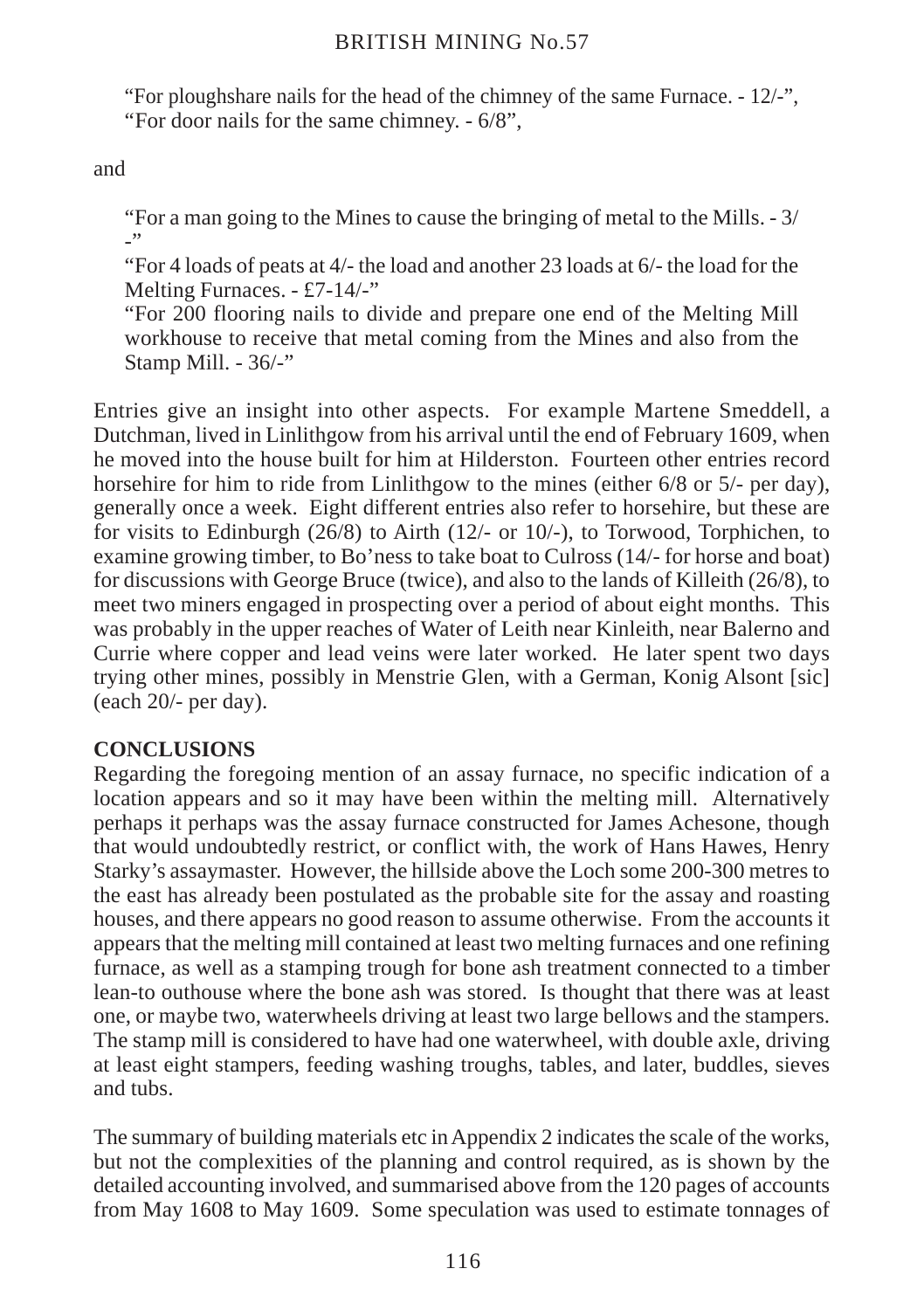"For ploughshare nails for the head of the chimney of the same Furnace. - 12/-", "For door nails for the same chimney. - 6/8",

and

"For a man going to the Mines to cause the bringing of metal to the Mills. - 3/  $\overline{\phantom{a}}$ 

"For 4 loads of peats at 4/- the load and another 23 loads at 6/- the load for the Melting Furnaces. - £7-14/-"

"For 200 flooring nails to divide and prepare one end of the Melting Mill workhouse to receive that metal coming from the Mines and also from the Stamp Mill. - 36/-"

Entries give an insight into other aspects. For example Martene Smeddell, a Dutchman, lived in Linlithgow from his arrival until the end of February 1609, when he moved into the house built for him at Hilderston. Fourteen other entries record horsehire for him to ride from Linlithgow to the mines (either 6/8 or 5/- per day), generally once a week. Eight different entries also refer to horsehire, but these are for visits to Edinburgh  $(26/8)$  to Airth  $(12/-$  or  $10/-$ ), to Torwood, Torphichen, to examine growing timber, to Bo'ness to take boat to Culross (14/- for horse and boat) for discussions with George Bruce (twice), and also to the lands of Killeith (26/8), to meet two miners engaged in prospecting over a period of about eight months. This was probably in the upper reaches of Water of Leith near Kinleith, near Balerno and Currie where copper and lead veins were later worked. He later spent two days trying other mines, possibly in Menstrie Glen, with a German, Konig Alsont [sic] (each 20/- per day).

## **CONCLUSIONS**

Regarding the foregoing mention of an assay furnace, no specific indication of a location appears and so it may have been within the melting mill. Alternatively perhaps it perhaps was the assay furnace constructed for James Achesone, though that would undoubtedly restrict, or conflict with, the work of Hans Hawes, Henry Starky's assaymaster. However, the hillside above the Loch some 200-300 metres to the east has already been postulated as the probable site for the assay and roasting houses, and there appears no good reason to assume otherwise. From the accounts it appears that the melting mill contained at least two melting furnaces and one refining furnace, as well as a stamping trough for bone ash treatment connected to a timber lean-to outhouse where the bone ash was stored. Is thought that there was at least one, or maybe two, waterwheels driving at least two large bellows and the stampers. The stamp mill is considered to have had one waterwheel, with double axle, driving at least eight stampers, feeding washing troughs, tables, and later, buddles, sieves and tubs.

The summary of building materials etc in Appendix 2 indicates the scale of the works, but not the complexities of the planning and control required, as is shown by the detailed accounting involved, and summarised above from the 120 pages of accounts from May 1608 to May 1609. Some speculation was used to estimate tonnages of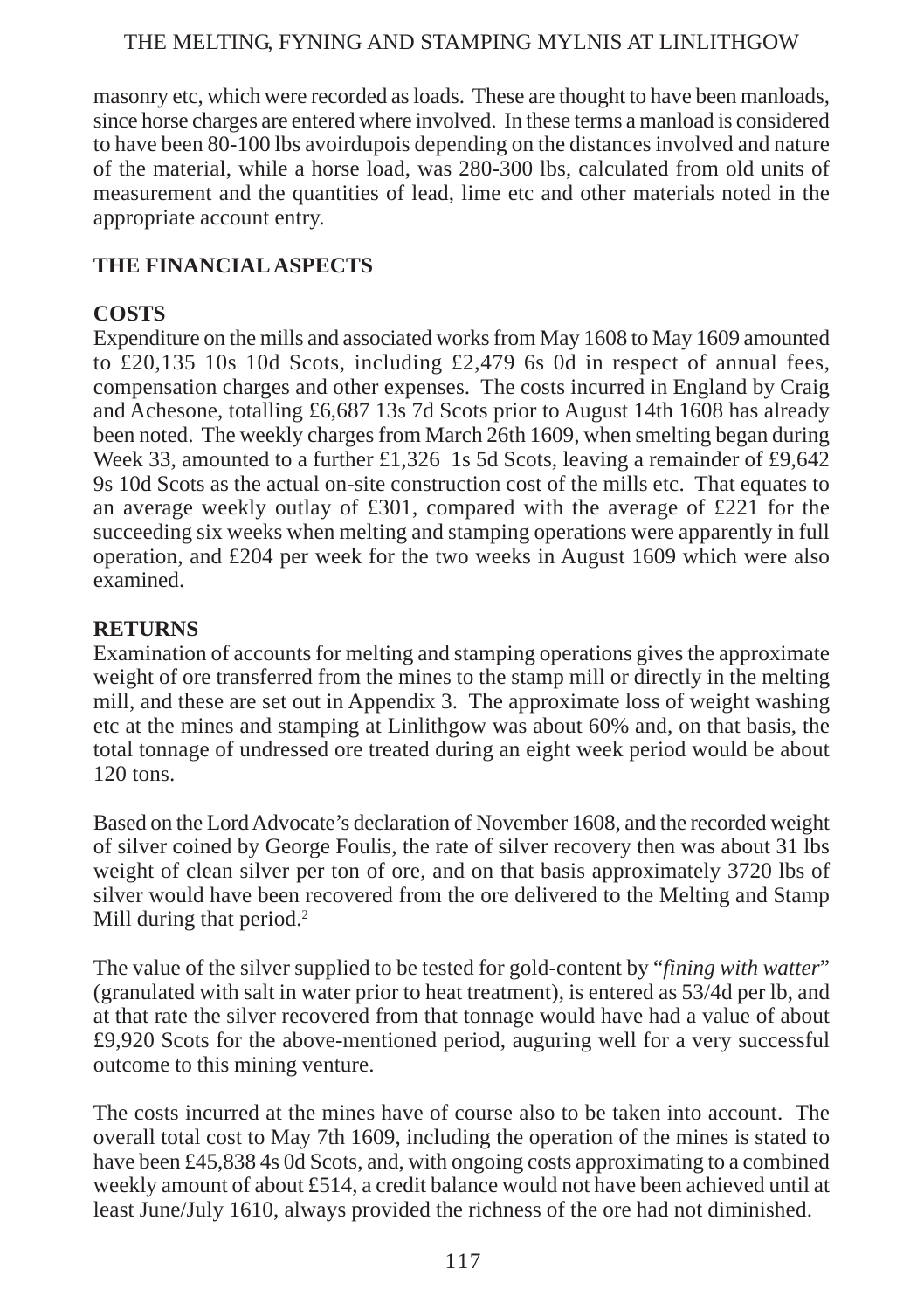masonry etc, which were recorded as loads. These are thought to have been manloads, since horse charges are entered where involved. In these terms a manload is considered to have been 80-100 lbs avoirdupois depending on the distances involved and nature of the material, while a horse load, was 280-300 lbs, calculated from old units of measurement and the quantities of lead, lime etc and other materials noted in the appropriate account entry.

## **THE FINANCIAL ASPECTS**

## **COSTS**

Expenditure on the mills and associated works from May 1608 to May 1609 amounted to £20,135 10s 10d Scots, including £2,479 6s 0d in respect of annual fees, compensation charges and other expenses. The costs incurred in England by Craig and Achesone, totalling £6,687 13s 7d Scots prior to August 14th 1608 has already been noted. The weekly charges from March 26th 1609, when smelting began during Week 33, amounted to a further £1,326 1s 5d Scots, leaving a remainder of £9,642 9s 10d Scots as the actual on-site construction cost of the mills etc. That equates to an average weekly outlay of £301, compared with the average of £221 for the succeeding six weeks when melting and stamping operations were apparently in full operation, and £204 per week for the two weeks in August 1609 which were also examined.

## **RETURNS**

Examination of accounts for melting and stamping operations gives the approximate weight of ore transferred from the mines to the stamp mill or directly in the melting mill, and these are set out in Appendix 3. The approximate loss of weight washing etc at the mines and stamping at Linlithgow was about 60% and, on that basis, the total tonnage of undressed ore treated during an eight week period would be about 120 tons.

Based on the Lord Advocate's declaration of November 1608, and the recorded weight of silver coined by George Foulis, the rate of silver recovery then was about 31 lbs weight of clean silver per ton of ore, and on that basis approximately 3720 lbs of silver would have been recovered from the ore delivered to the Melting and Stamp Mill during that period.<sup>2</sup>

The value of the silver supplied to be tested for gold-content by "*fining with watter*" (granulated with salt in water prior to heat treatment), is entered as 53/4d per lb, and at that rate the silver recovered from that tonnage would have had a value of about £9,920 Scots for the above-mentioned period, auguring well for a very successful outcome to this mining venture.

The costs incurred at the mines have of course also to be taken into account. The overall total cost to May 7th 1609, including the operation of the mines is stated to have been £45,838 4s 0d Scots, and, with ongoing costs approximating to a combined weekly amount of about £514, a credit balance would not have been achieved until at least June/July 1610, always provided the richness of the ore had not diminished.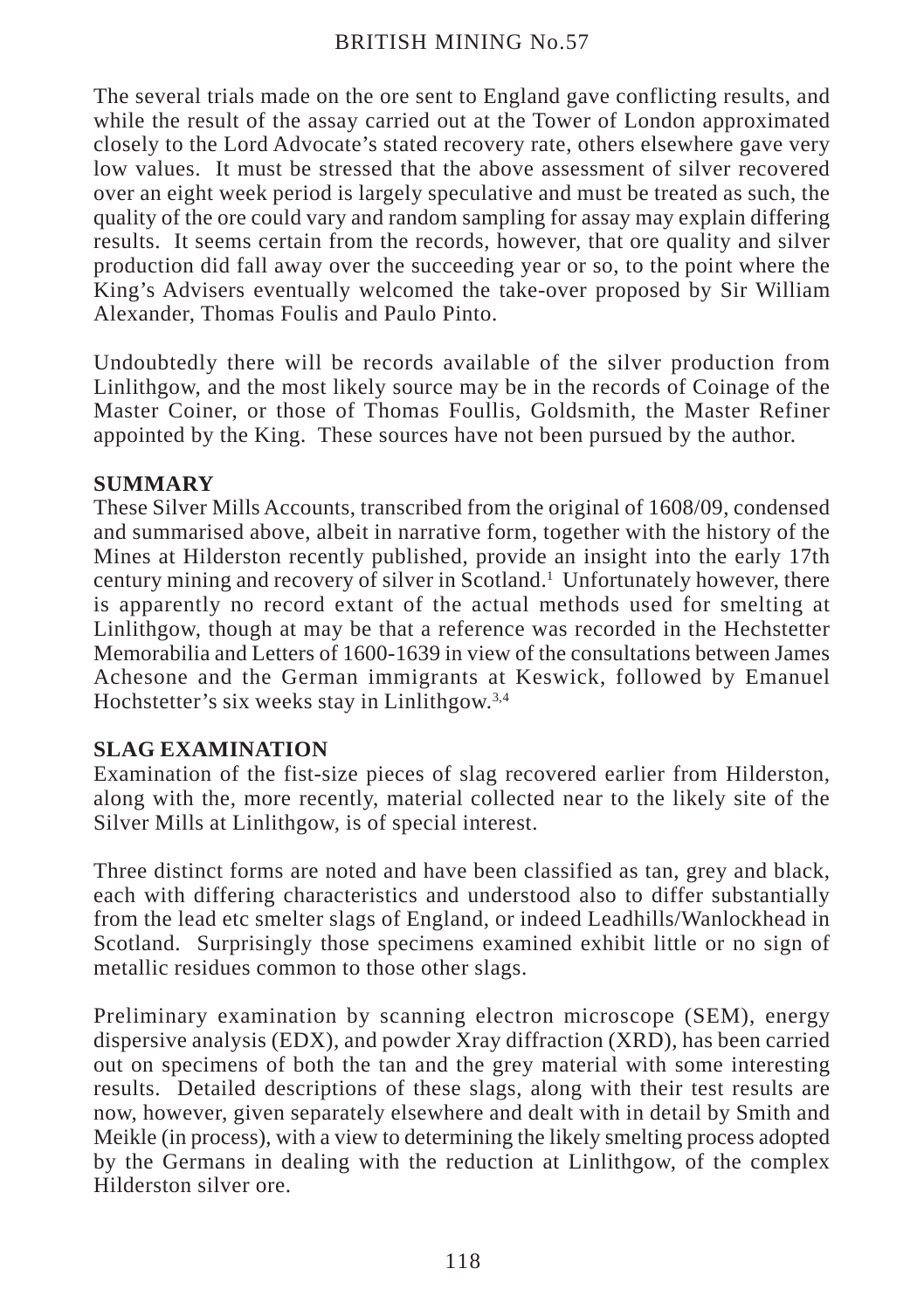The several trials made on the ore sent to England gave conflicting results, and while the result of the assay carried out at the Tower of London approximated closely to the Lord Advocate's stated recovery rate, others elsewhere gave very low values. It must be stressed that the above assessment of silver recovered over an eight week period is largely speculative and must be treated as such, the quality of the ore could vary and random sampling for assay may explain differing results. It seems certain from the records, however, that ore quality and silver production did fall away over the succeeding year or so, to the point where the King's Advisers eventually welcomed the take-over proposed by Sir William Alexander, Thomas Foulis and Paulo Pinto.

Undoubtedly there will be records available of the silver production from Linlithgow, and the most likely source may be in the records of Coinage of the Master Coiner, or those of Thomas Foullis, Goldsmith, the Master Refiner appointed by the King. These sources have not been pursued by the author.

## **SUMMARY**

These Silver Mills Accounts, transcribed from the original of 1608/09, condensed and summarised above, albeit in narrative form, together with the history of the Mines at Hilderston recently published, provide an insight into the early 17th century mining and recovery of silver in Scotland.<sup>1</sup> Unfortunately however, there is apparently no record extant of the actual methods used for smelting at Linlithgow, though at may be that a reference was recorded in the Hechstetter Memorabilia and Letters of 1600-1639 in view of the consultations between James Achesone and the German immigrants at Keswick, followed by Emanuel Hochstetter's six weeks stay in Linlithgow.3,4

## **SLAG EXAMINATION**

Examination of the fist-size pieces of slag recovered earlier from Hilderston, along with the, more recently, material collected near to the likely site of the Silver Mills at Linlithgow, is of special interest.

Three distinct forms are noted and have been classified as tan, grey and black, each with differing characteristics and understood also to differ substantially from the lead etc smelter slags of England, or indeed Leadhills/Wanlockhead in Scotland. Surprisingly those specimens examined exhibit little or no sign of metallic residues common to those other slags.

Preliminary examination by scanning electron microscope (SEM), energy dispersive analysis (EDX), and powder Xray diffraction (XRD), has been carried out on specimens of both the tan and the grey material with some interesting results. Detailed descriptions of these slags, along with their test results are now, however, given separately elsewhere and dealt with in detail by Smith and Meikle (in process), with a view to determining the likely smelting process adopted by the Germans in dealing with the reduction at Linlithgow, of the complex Hilderston silver ore.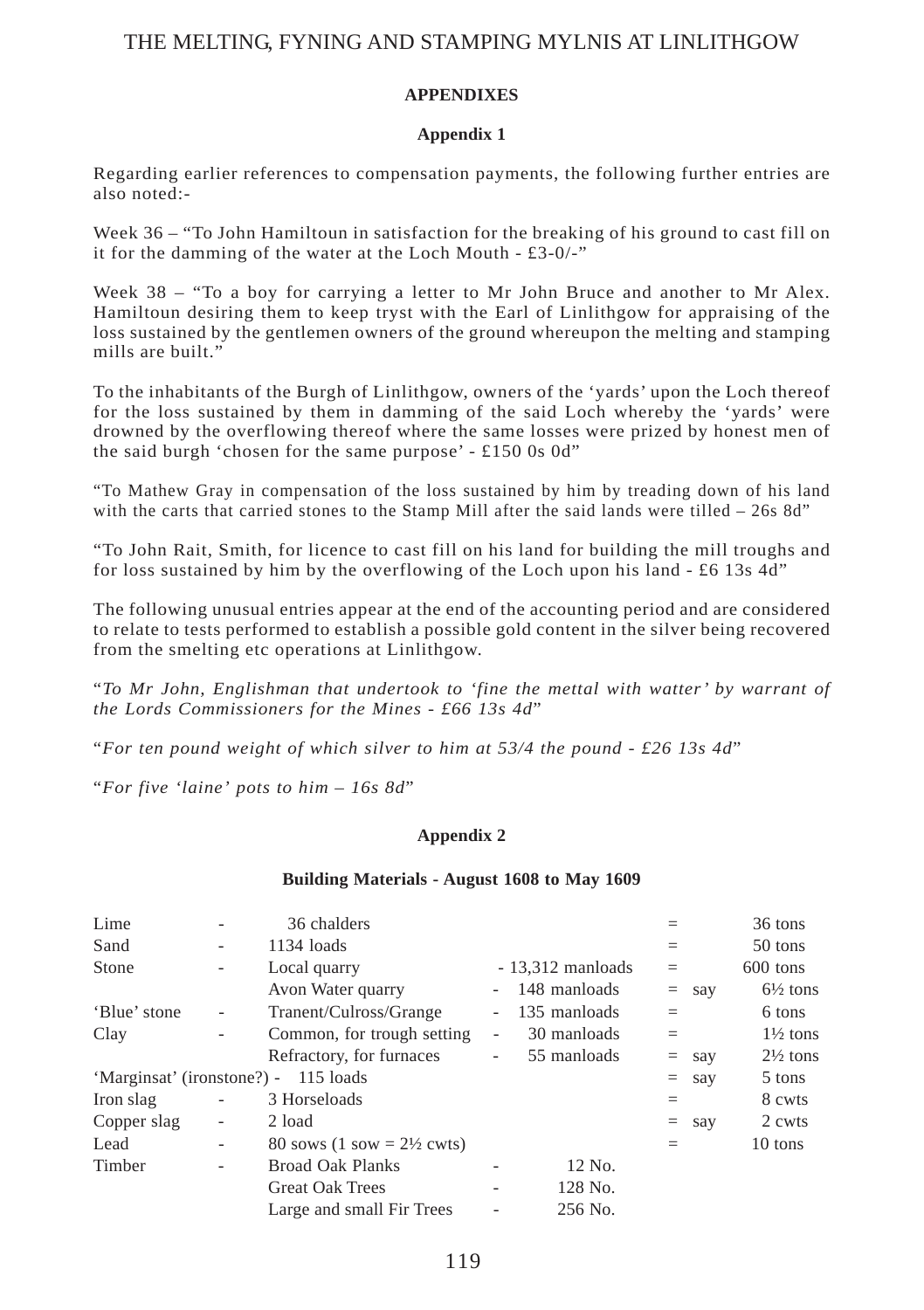#### **APPENDIXES**

#### **Appendix 1**

Regarding earlier references to compensation payments, the following further entries are also noted:-

Week 36 – "To John Hamiltoun in satisfaction for the breaking of his ground to cast fill on it for the damming of the water at the Loch Mouth - £3-0/-"

Week 38 – "To a boy for carrying a letter to Mr John Bruce and another to Mr Alex. Hamiltoun desiring them to keep tryst with the Earl of Linlithgow for appraising of the loss sustained by the gentlemen owners of the ground whereupon the melting and stamping mills are built.'

To the inhabitants of the Burgh of Linlithgow, owners of the 'yards' upon the Loch thereof for the loss sustained by them in damming of the said Loch whereby the 'yards' were drowned by the overflowing thereof where the same losses were prized by honest men of the said burgh 'chosen for the same purpose' - £150 0s 0d"

"To Mathew Gray in compensation of the loss sustained by him by treading down of his land with the carts that carried stones to the Stamp Mill after the said lands were tilled  $-$  26s 8d"

"To John Rait, Smith, for licence to cast fill on his land for building the mill troughs and for loss sustained by him by the overflowing of the Loch upon his land - £6 13s  $4d$ "

The following unusual entries appear at the end of the accounting period and are considered to relate to tests performed to establish a possible gold content in the silver being recovered from the smelting etc operations at Linlithgow.

"*To Mr John, Englishman that undertook to 'fine the mettal with watter' by warrant of the Lords Commissioners for the Mines - £66 13s 4d*"

"*For ten pound weight of which silver to him at 53/4 the pound - £26 13s 4d*"

"*For five 'laine' pots to him – 16s 8d*"

#### **Appendix 2**

#### **Building Materials - August 1608 to May 1609**

| Lime                                    | ۰                            | 36 chalders                                          |                          |                    |         |        | 36 tons             |
|-----------------------------------------|------------------------------|------------------------------------------------------|--------------------------|--------------------|---------|--------|---------------------|
| Sand                                    | -                            | $1134$ loads                                         |                          |                    |         |        | 50 tons             |
| Stone                                   | $\overline{\phantom{0}}$     | Local quarry                                         |                          | $-13,312$ manloads | $=$     |        | 600 tons            |
|                                         |                              | Avon Water quarry                                    | $\sim$                   | 148 manloads       | $=$     | say    | $6\frac{1}{2}$ tons |
| 'Blue' stone                            | $\qquad \qquad \blacksquare$ | Tranent/Culross/Grange                               | $\overline{\phantom{a}}$ | 135 manloads       | $=$     |        | 6 tons              |
| Clay                                    | ۰                            | Common, for trough setting                           | ٠                        | 30 manloads        | $=$     |        | $1\frac{1}{2}$ tons |
|                                         |                              | Refractory, for furnaces                             | ٠                        | 55 manloads        | $=$     | say    | $2\frac{1}{2}$ tons |
| 'Marginsat' (ironstone?) -<br>115 loads |                              |                                                      |                          |                    | $=$ say | 5 tons |                     |
| Iron slag                               | -                            | 3 Horseloads                                         |                          |                    | $=$     |        | 8 cwts              |
| Copper slag                             | $\overline{\phantom{0}}$     | 2 load                                               |                          |                    | $=$     | say    | 2 cwts              |
| Lead                                    | ٠                            | 80 sows $(1 \text{ sow} = 2\frac{1}{2} \text{cwts})$ |                          |                    |         |        | 10 tons             |
| Timber                                  | $\overline{\phantom{0}}$     | <b>Broad Oak Planks</b>                              | ۰                        | 12 No.             |         |        |                     |
|                                         |                              | <b>Great Oak Trees</b>                               | ٠                        | 128 No.            |         |        |                     |
|                                         |                              | Large and small Fir Trees                            |                          | 256 No.            |         |        |                     |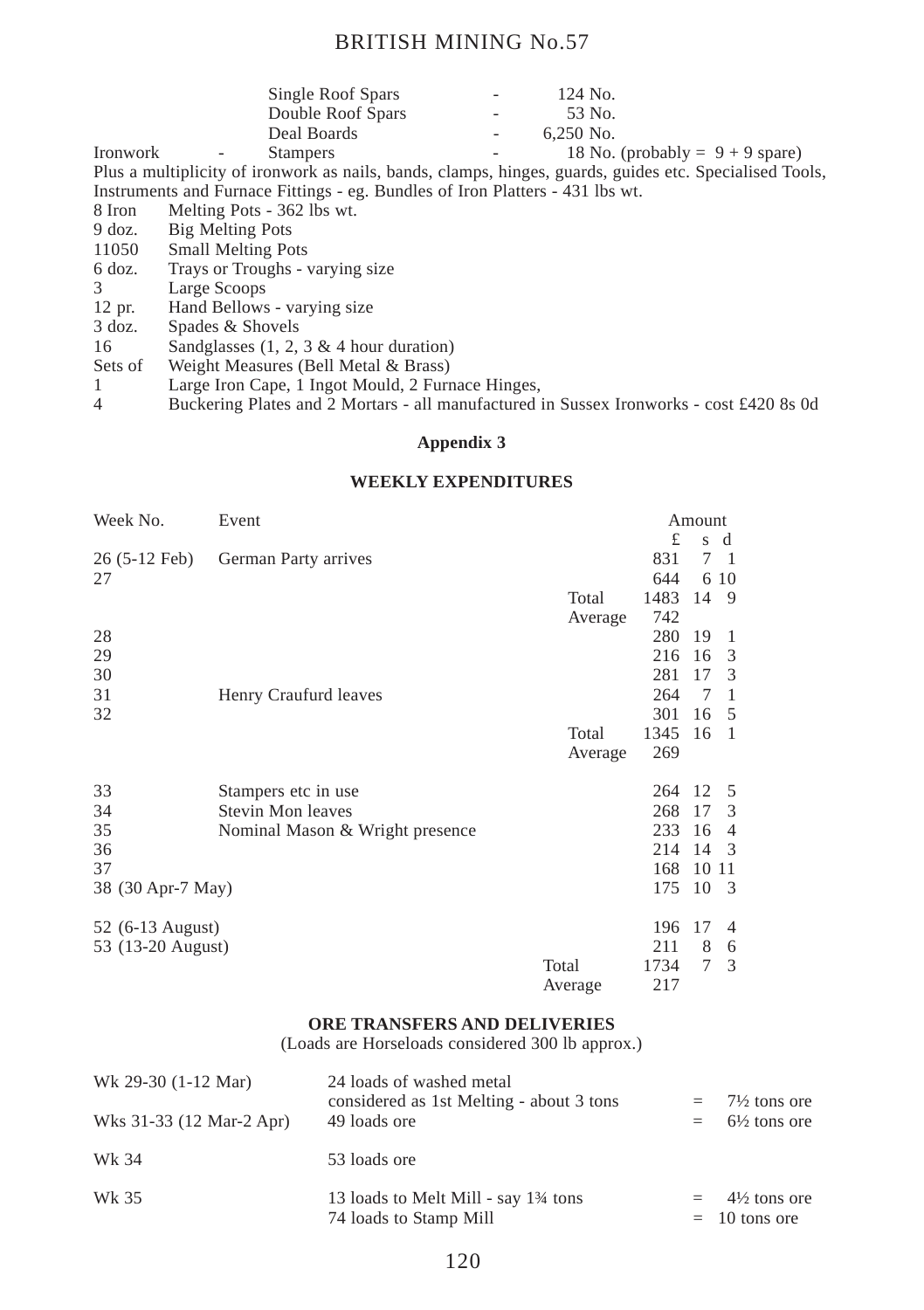|          |        | Single Roof Spars | $\overline{\phantom{a}}$ | 124 No.                           |
|----------|--------|-------------------|--------------------------|-----------------------------------|
|          |        | Double Roof Spars | ٠.                       | .53 No.                           |
|          |        | Deal Boards       | $\sim$                   | $6.250$ No.                       |
| Ironwork | $\sim$ | <b>Stampers</b>   | $\overline{\phantom{a}}$ | 18 No. (probably = $9 + 9$ spare) |

Plus a multiplicity of ironwork as nails, bands, clamps, hinges, guards, guides etc. Specialised Tools, Instruments and Furnace Fittings - eg. Bundles of Iron Platters - 431 lbs wt.

- 8 Iron Melting Pots 362 lbs wt.<br>9 doz. Big Melting Pots
- 9 doz. Big Melting Pots<br>11050 Small Melting Po
- 11050 Small Melting Pots<br>6 doz. Travs or Troughs -
- 6 doz. Trays or Troughs varying size
- 3 Large Scoops<br>12 pr. Hand Bellows
- 12 pr. Hand Bellows varying size<br>3 doz. Spades & Shovels
- $3 \overline{\text{doz}}$ . Spades & Shovels<br>16 Sandglasses (1, 2,
- 16 Sandglasses (1, 2, 3 & 4 hour duration)<br>Sets of Weight Measures (Bell Metal & Brass)
- Sets of Weight Measures (Bell Metal & Brass)<br>1 Large Iron Cane 1 Ingot Mould 2 Furn
- 1 Large Iron Cape, 1 Ingot Mould, 2 Furnace Hinges,<br>Buckering Plates and 2 Mortars all manufactured
- 4 Buckering Plates and 2 Mortars all manufactured in Sussex Ironworks cost £420 8s 0d

#### **Appendix 3**

#### **WEEKLY EXPENDITURES**

| Week No.               | Event                           |         |      | Amount |                |
|------------------------|---------------------------------|---------|------|--------|----------------|
|                        |                                 |         | £    | s d    |                |
| $26(5-12 \text{ Feb})$ | German Party arrives            |         | 831  | 7      | $\overline{1}$ |
| 27                     |                                 |         | 644  |        | 6 10           |
|                        |                                 | Total   | 1483 | 14     | 9              |
|                        |                                 | Average | 742  |        |                |
| 28                     |                                 |         | 280  | 19     | 1              |
| 29                     |                                 |         | 216  | 16     | 3              |
| 30                     |                                 |         | 281  | 17     | 3              |
| 31                     | Henry Craufurd leaves           |         | 264  | 7      | 1              |
| 32                     |                                 |         | 301  | 16     | 5              |
|                        |                                 | Total   | 1345 | 16     | $\overline{1}$ |
|                        |                                 | Average | 269  |        |                |
|                        |                                 |         |      |        |                |
| 33                     | Stampers etc in use.            |         | 264  | 12     | 5              |
| 34                     | Stevin Mon leaves               |         | 268  | 17     | 3              |
| 35                     | Nominal Mason & Wright presence |         | 233  | 16     | $\overline{4}$ |
| 36                     |                                 |         | 214  | 14     | 3              |
| 37                     |                                 |         | 168  | 10     | 11             |
| 38 (30 Apr-7 May)      |                                 |         | 175  | 10     | 3              |
|                        |                                 |         |      |        |                |
| 52 (6-13 August)       |                                 | 196     | 17   | 4      |                |
| 53 (13-20 August)      |                                 |         | 211  | 8      | 6              |
|                        |                                 | Total   | 1734 | 7      | 3              |
|                        |                                 | Average | 217  |        |                |

#### **ORE TRANSFERS AND DELIVERIES**

(Loads are Horseloads considered 300 lb approx.)

| Wk 29-30 (1-12 Mar)      | 24 loads of washed metal<br>considered as 1st Melting - about 3 tons                     | $=$ | $7\frac{1}{2}$ tons ore                    |
|--------------------------|------------------------------------------------------------------------------------------|-----|--------------------------------------------|
| Wks 31-33 (12 Mar-2 Apr) | 49 loads ore                                                                             |     | $= 6\frac{1}{2}$ tons ore                  |
| Wk 34                    | 53 loads ore                                                                             |     |                                            |
| Wk 35                    | 13 loads to Melt Mill - say 1 <sup>3</sup> / <sub>4</sub> tons<br>74 loads to Stamp Mill |     | $4\frac{1}{2}$ tons ore<br>$= 10$ tons ore |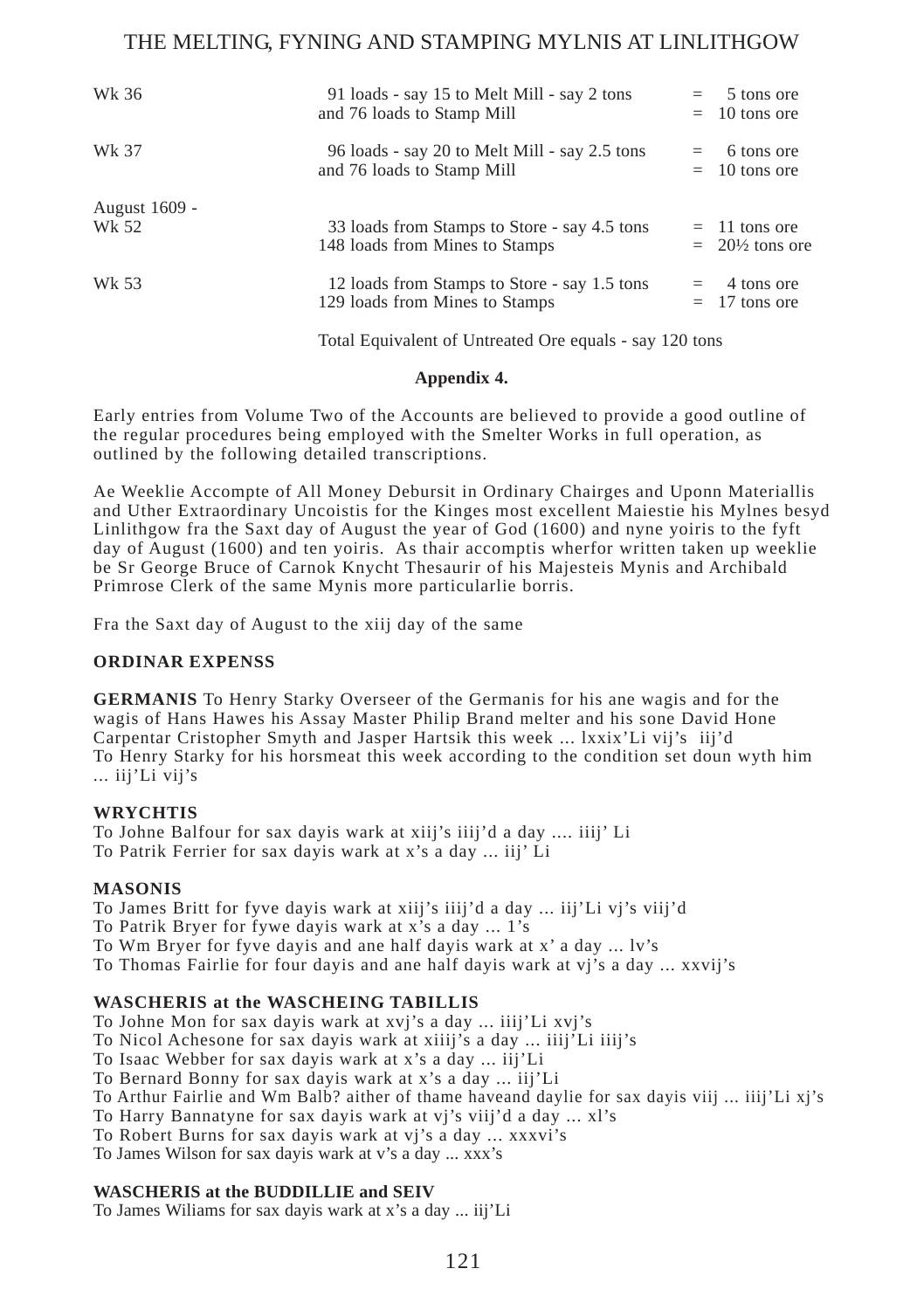| Wk 36                  | 91 loads - say 15 to Melt Mill - say 2 tons<br>and 76 loads to Stamp Mill      | 5 tons ore<br>$=$ $-$<br>$= 10$ tons ore      |
|------------------------|--------------------------------------------------------------------------------|-----------------------------------------------|
| Wk 37                  | 96 loads - say 20 to Melt Mill - say 2.5 tons<br>and 76 loads to Stamp Mill    | 6 tons ore<br>$=$ $-$<br>$= 10$ tons ore      |
| August 1609 -<br>Wk 52 | 33 loads from Stamps to Store - say 4.5 tons<br>148 loads from Mines to Stamps | $=$ 11 tons ore<br>$= 20\frac{1}{2}$ tons ore |
| Wk 53                  | 12 loads from Stamps to Store - say 1.5 tons<br>129 loads from Mines to Stamps | 4 tons ore<br>$=$<br>$= 17$ tons ore          |

Total Equivalent of Untreated Ore equals - say 120 tons

#### **Appendix 4.**

Early entries from Volume Two of the Accounts are believed to provide a good outline of the regular procedures being employed with the Smelter Works in full operation, as outlined by the following detailed transcriptions.

Ae Weeklie Accompte of All Money Debursit in Ordinary Chairges and Uponn Materiallis and Uther Extraordinary Uncoistis for the Kinges most excellent Maiestie his Mylnes besyd Linlithgow fra the Saxt day of August the year of God (1600) and nyne yoiris to the fyft day of August (1600) and ten yoiris. As thair accomptis wherfor written taken up weeklie be Sr George Bruce of Carnok Knycht Thesaurir of his Majesteis Mynis and Archibald Primrose Clerk of the same Mynis more particularlie borris.

Fra the Saxt day of August to the xiij day of the same

#### **ORDINAR EXPENSS**

**GERMANIS** To Henry Starky Overseer of the Germanis for his ane wagis and for the wagis of Hans Hawes his Assay Master Philip Brand melter and his sone David Hone Carpentar Cristopher Smyth and Jasper Hartsik this week ... lxxix'Li vij's iij'd To Henry Starky for his horsmeat this week according to the condition set doun wyth him ... iij'Li vij's

#### **WRYCHTIS**

To Johne Balfour for sax dayis wark at xiij's iiij'd a day .... iiij' Li To Patrik Ferrier for sax dayis wark at x's a day ... iij' Li

#### **MASONIS**

To James Britt for fyve dayis wark at xiij's iiij'd a day ... iij'Li vj's viij'd To Patrik Bryer for fywe dayis wark at x's a day ... 1's To Wm Bryer for fyve dayis and ane half dayis wark at x' a day ... lv's To Thomas Fairlie for four dayis and ane half dayis wark at vj's a day ... xxvij's

#### **WASCHERIS at the WASCHEING TABILLIS**

To Johne Mon for sax dayis wark at xvj's a day ... iiij'Li xvj's

To Nicol Achesone for sax dayis wark at xiiij's a day ... iiij'Li iiij's

To Isaac Webber for sax dayis wark at x's a day ... iij'Li

To Bernard Bonny for sax dayis wark at x's a day ... iij'Li

To Arthur Fairlie and Wm Balb? aither of thame haveand daylie for sax dayis viij ... iiij'Li xj's

To Harry Bannatyne for sax dayis wark at vj's viij'd a day ... xl's

To Robert Burns for sax dayis wark at vj's a day ... xxxvi's

To James Wilson for sax dayis wark at v's a day ... xxx's

#### **WASCHERIS at the BUDDILLIE and SEIV**

To James Wiliams for sax dayis wark at x's a day ... iij'Li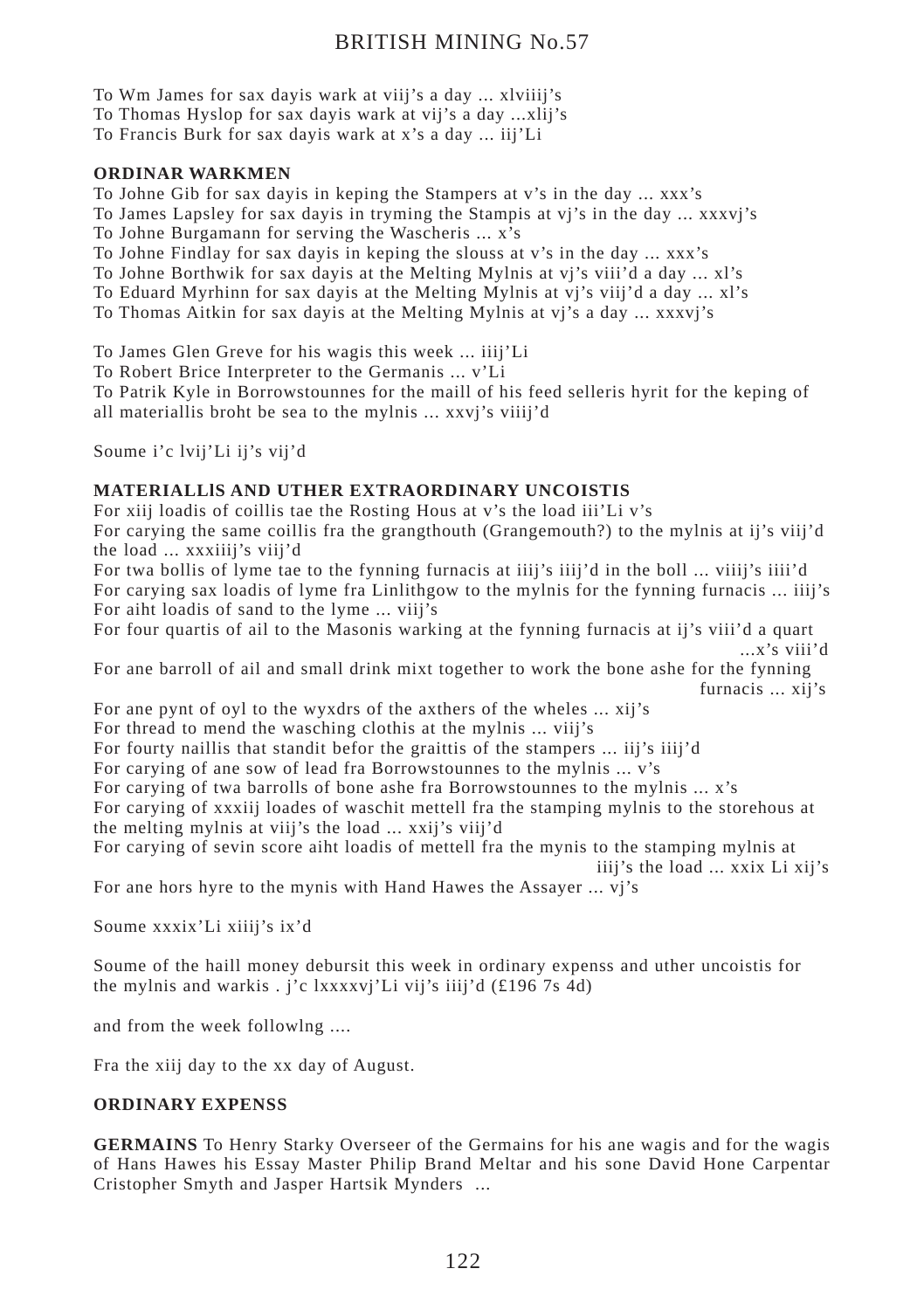To Wm James for sax dayis wark at viij's a day ... xlviiij's

To Thomas Hyslop for sax dayis wark at vij's a day ...xlij's

To Francis Burk for sax dayis wark at x's a day ... iij'Li

#### **ORDINAR WARKMEN**

To Johne Gib for sax dayis in keping the Stampers at v's in the day ... xxx's

To James Lapsley for sax dayis in tryming the Stampis at vj's in the day ... xxxvj's

To Johne Burgamann for serving the Wascheris ... x's

To Johne Findlay for sax dayis in keping the slouss at v's in the day ... xxx's

To Johne Borthwik for sax dayis at the Melting Mylnis at vj's viii'd a day ... xl's

To Eduard Myrhinn for sax dayis at the Melting Mylnis at vj's viij'd a day ... xl's

To Thomas Aitkin for sax dayis at the Melting Mylnis at vj's a day ... xxxvj's

To James Glen Greve for his wagis this week ... iiij'Li

To Robert Brice Interpreter to the Germanis ... v'Li

To Patrik Kyle in Borrowstounnes for the maill of his feed selleris hyrit for the keping of all materiallis broht be sea to the mylnis ... xxvj's viiij'd

Soume i'c lvij'Li ij's vij'd

## **MATERIALLlS AND UTHER EXTRAORDINARY UNCOISTIS**

For xiij loadis of coillis tae the Rosting Hous at v's the load iii'Li v's For carying the same coillis fra the grangthouth (Grangemouth?) to the mylnis at ij's viij'd the load ... xxxiiij's viij'd

For twa bollis of lyme tae to the fynning furnacis at iiij's iiij'd in the boll ... viiij's iiii'd For carying sax loadis of lyme fra Linlithgow to the mylnis for the fynning furnacis ... iiij's For aiht loadis of sand to the lyme ... viij's

For four quartis of ail to the Masonis warking at the fynning furnacis at ij's viii'd a quart ...x's viii'd

For ane barroll of ail and small drink mixt together to work the bone ashe for the fynning furnacis ... xij's

For ane pynt of oyl to the wyxdrs of the axthers of the wheles ... xij's

For thread to mend the wasching clothis at the mylnis ... viij's

For fourty naillis that standit befor the graittis of the stampers ... iij's iiij'd

For carying of ane sow of lead fra Borrowstounnes to the mylnis ... v's

For carying of twa barrolls of bone ashe fra Borrowstounnes to the mylnis ... x's

For carying of xxxiij loades of waschit mettell fra the stamping mylnis to the storehous at the melting mylnis at viij's the load ... xxij's viij'd

For carying of sevin score aiht loadis of mettell fra the mynis to the stamping mylnis at iiij's the load ... xxix Li xij's

For ane hors hyre to the mynis with Hand Hawes the Assayer ... vj's

Soume xxxix'Li xiiij's ix'd

Soume of the haill money debursit this week in ordinary expenss and uther uncoistis for the mylnis and warkis . j'c lxxxxvj'Li vij's iiij'd (£196 7s 4d)

and from the week followlng ....

Fra the xiij day to the xx day of August.

#### **ORDINARY EXPENSS**

**GERMAINS** To Henry Starky Overseer of the Germains for his ane wagis and for the wagis of Hans Hawes his Essay Master Philip Brand Meltar and his sone David Hone Carpentar Cristopher Smyth and Jasper Hartsik Mynders ...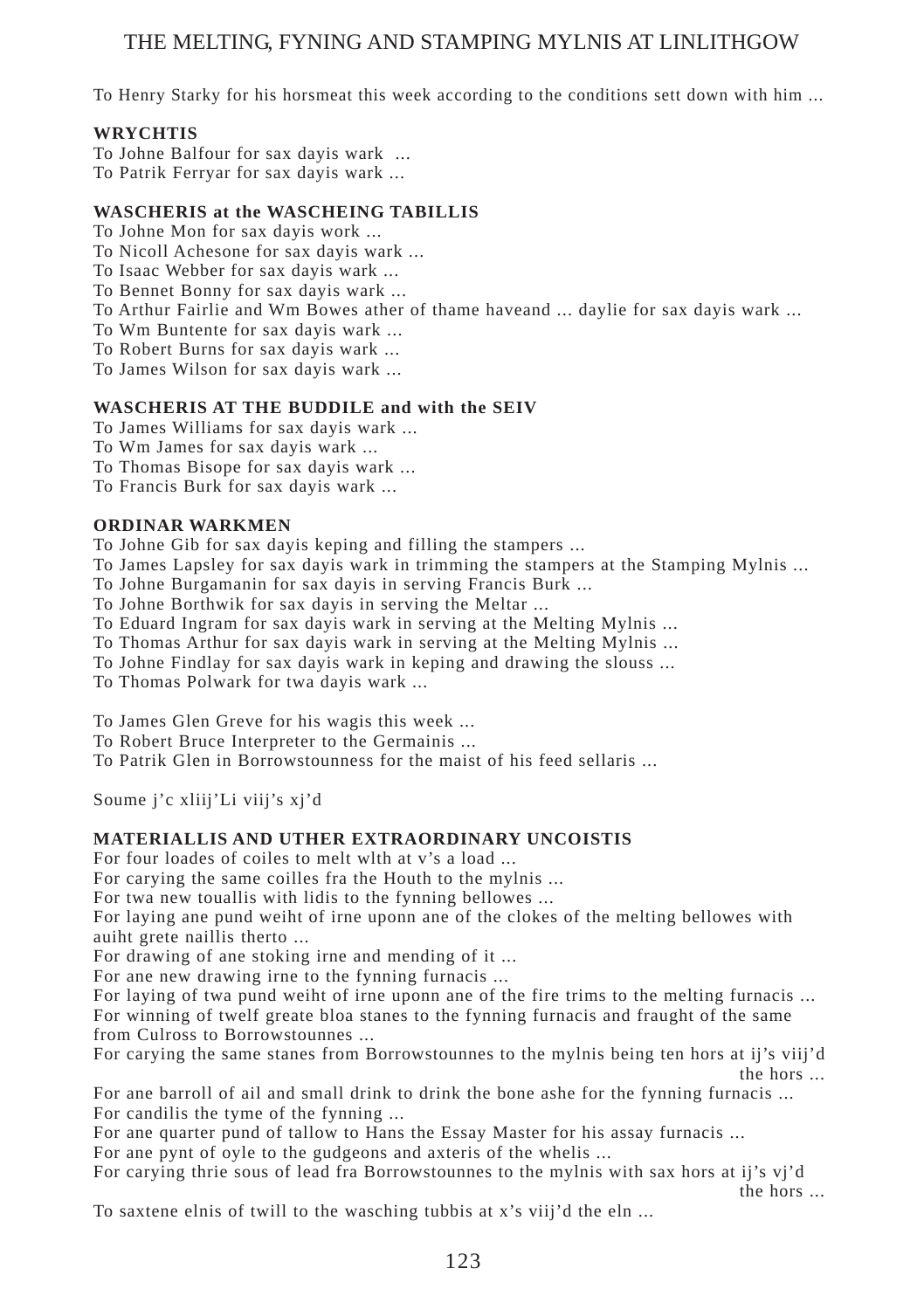To Henry Starky for his horsmeat this week according to the conditions sett down with him ...

#### **WRYCHTIS**

To Johne Balfour for sax dayis wark ... To Patrik Ferryar for sax dayis wark ...

#### **WASCHERIS at the WASCHEING TABILLIS**

To Johne Mon for sax dayis work ...

To Nicoll Achesone for sax dayis wark ...

To Isaac Webber for sax dayis wark ...

To Bennet Bonny for sax dayis wark ...

To Arthur Fairlie and Wm Bowes ather of thame haveand ... daylie for sax dayis wark ...

To Wm Buntente for sax dayis wark ...

To Robert Burns for sax dayis wark ...

To James Wilson for sax dayis wark ...

#### **WASCHERIS AT THE BUDDILE and with the SEIV**

To James Williams for sax dayis wark ...

To Wm James for sax dayis wark ...

To Thomas Bisope for sax dayis wark ...

To Francis Burk for sax dayis wark ...

#### **ORDINAR WARKMEN**

To Johne Gib for sax dayis keping and filling the stampers ...

To James Lapsley for sax dayis wark in trimming the stampers at the Stamping Mylnis ...

To Johne Burgamanin for sax dayis in serving Francis Burk ...

To Johne Borthwik for sax dayis in serving the Meltar ...

To Eduard Ingram for sax dayis wark in serving at the Melting Mylnis ...

To Thomas Arthur for sax dayis wark in serving at the Melting Mylnis ...

To Johne Findlay for sax dayis wark in keping and drawing the slouss ...

To Thomas Polwark for twa dayis wark ...

To James Glen Greve for his wagis this week ...

To Robert Bruce Interpreter to the Germainis ...

To Patrik Glen in Borrowstounness for the maist of his feed sellaris ...

Soume j'c xliij'Li viij's xj'd

#### **MATERIALLIS AND UTHER EXTRAORDINARY UNCOISTIS**

For four loades of coiles to melt wlth at v's a load ...

For carying the same coilles fra the Houth to the mylnis ...

For twa new touallis with lidis to the fynning bellowes ...

For laying ane pund weiht of irne uponn ane of the clokes of the melting bellowes with auiht grete naillis therto ...

For drawing of ane stoking irne and mending of it ...

For ane new drawing irne to the fynning furnacis ...

For laying of twa pund weiht of irne uponn ane of the fire trims to the melting furnacis ... For winning of twelf greate bloa stanes to the fynning furnacis and fraught of the same from Culross to Borrowstounnes ...

For carying the same stanes from Borrowstounnes to the mylnis being ten hors at ij's viij'd the hors ...

For ane barroll of ail and small drink to drink the bone ashe for the fynning furnacis ... For candilis the tyme of the fynning ...

For ane quarter pund of tallow to Hans the Essay Master for his assay furnacis ...

For ane pynt of oyle to the gudgeons and axteris of the whelis ...

For carying thrie sous of lead fra Borrowstounnes to the mylnis with sax hors at ij's vj'd

the hors ...

To saxtene elnis of twill to the wasching tubbis at x's viij'd the eln ...